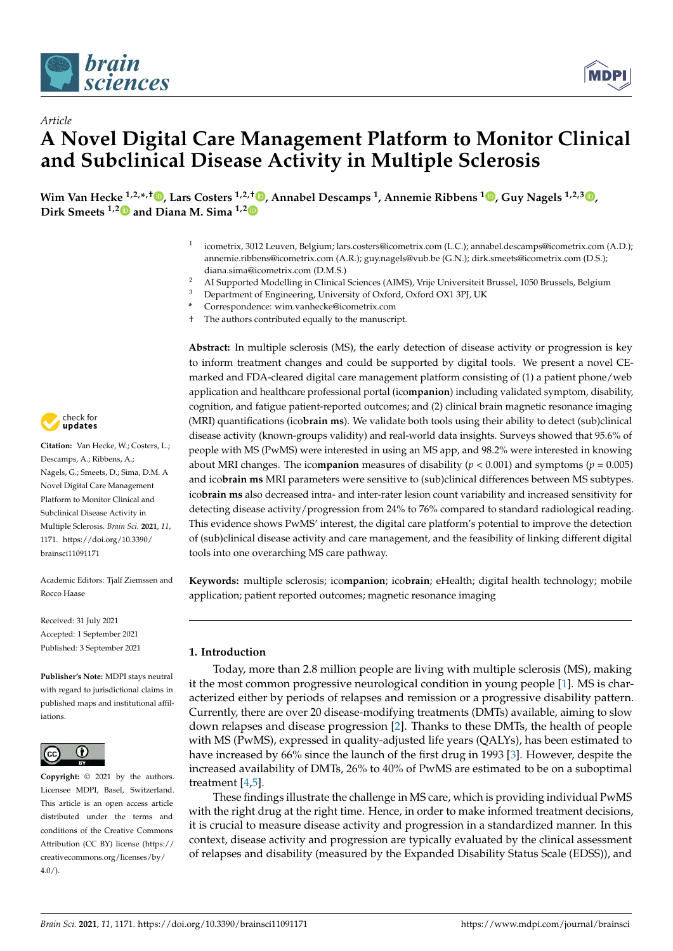

*Article*



# **A Novel Digital Care Management Platform to Monitor Clinical and Subclinical Disease Activity in Multiple Sclerosis**

**Wim Van Hecke 1,2,\* ,† [,](https://orcid.org/0000-0002-3058-0937) Lars Costers 1,2,† [,](https://orcid.org/0000-0003-2668-8061) Annabel Descamps <sup>1</sup> , Annemie Ribbens [1](https://orcid.org/0000-0002-5732-5389) , Guy Nagels 1,2,3 [,](https://orcid.org/0000-0002-2597-0383) Dirk Smeets 1,[2](https://orcid.org/0000-0003-1153-094X) and Diana M. Sima 1,[2](https://orcid.org/0000-0002-0118-2905)**

- 1 icometrix, 3012 Leuven, Belgium; lars.costers@icometrix.com (L.C.); annabel.descamps@icometrix.com (A.D.); annemie.ribbens@icometrix.com (A.R.); guy.nagels@vub.be (G.N.); dirk.smeets@icometrix.com (D.S.); diana.sima@icometrix.com (D.M.S.)
- <sup>2</sup> AI Supported Modelling in Clinical Sciences (AIMS), Vrije Universiteit Brussel, 1050 Brussels, Belgium
- <sup>3</sup> Department of Engineering, University of Oxford, Oxford OX1 3PJ, UK
- **\*** Correspondence: wim.vanhecke@icometrix.com
- † The authors contributed equally to the manuscript.

**Abstract:** In multiple sclerosis (MS), the early detection of disease activity or progression is key to inform treatment changes and could be supported by digital tools. We present a novel CEmarked and FDA-cleared digital care management platform consisting of (1) a patient phone/web application and healthcare professional portal (ico**mpanion**) including validated symptom, disability, cognition, and fatigue patient-reported outcomes; and (2) clinical brain magnetic resonance imaging (MRI) quantifications (ico**brain ms**). We validate both tools using their ability to detect (sub)clinical disease activity (known-groups validity) and real-world data insights. Surveys showed that 95.6% of people with MS (PwMS) were interested in using an MS app, and 98.2% were interested in knowing about MRI changes. The ico**mpanion** measures of disability (*p* < 0.001) and symptoms (*p* = 0.005) and ico**brain ms** MRI parameters were sensitive to (sub)clinical differences between MS subtypes. ico**brain ms** also decreased intra- and inter-rater lesion count variability and increased sensitivity for detecting disease activity/progression from 24% to 76% compared to standard radiological reading. This evidence shows PwMS' interest, the digital care platform's potential to improve the detection of (sub)clinical disease activity and care management, and the feasibility of linking different digital tools into one overarching MS care pathway.

**Keywords:** multiple sclerosis; ico**mpanion**; ico**brain**; eHealth; digital health technology; mobile application; patient reported outcomes; magnetic resonance imaging

#### **1. Introduction**

Today, more than 2.8 million people are living with multiple sclerosis (MS), making it the most common progressive neurological condition in young people [\[1\]](#page-22-0). MS is characterized either by periods of relapses and remission or a progressive disability pattern. Currently, there are over 20 disease-modifying treatments (DMTs) available, aiming to slow down relapses and disease progression [\[2\]](#page-22-1). Thanks to these DMTs, the health of people with MS (PwMS), expressed in quality-adjusted life years (QALYs), has been estimated to have increased by 66% since the launch of the first drug in 1993 [\[3\]](#page-22-2). However, despite the increased availability of DMTs, 26% to 40% of PwMS are estimated to be on a suboptimal treatment [\[4,](#page-22-3)[5\]](#page-22-4).

These findings illustrate the challenge in MS care, which is providing individual PwMS with the right drug at the right time. Hence, in order to make informed treatment decisions, it is crucial to measure disease activity and progression in a standardized manner. In this context, disease activity and progression are typically evaluated by the clinical assessment of relapses and disability (measured by the Expanded Disability Status Scale (EDSS)), and



**Citation:** Van Hecke, W.; Costers, L.; Descamps, A.; Ribbens, A.; Nagels, G.; Smeets, D.; Sima, D.M. A Novel Digital Care Management Platform to Monitor Clinical and Subclinical Disease Activity in Multiple Sclerosis. *Brain Sci.* **2021**, *11*, 1171. [https://doi.org/10.3390/](https://doi.org/10.3390/brainsci11091171) [brainsci11091171](https://doi.org/10.3390/brainsci11091171)

Academic Editors: Tjalf Ziemssen and Rocco Haase

Received: 31 July 2021 Accepted: 1 September 2021 Published: 3 September 2021

**Publisher's Note:** MDPI stays neutral with regard to jurisdictional claims in published maps and institutional affiliations.



**Copyright:** © 2021 by the authors. Licensee MDPI, Basel, Switzerland. This article is an open access article distributed under the terms and conditions of the Creative Commons Attribution (CC BY) license (https:/[/](https://creativecommons.org/licenses/by/4.0/) [creativecommons.org/licenses/by/](https://creativecommons.org/licenses/by/4.0/)  $4.0/$ ).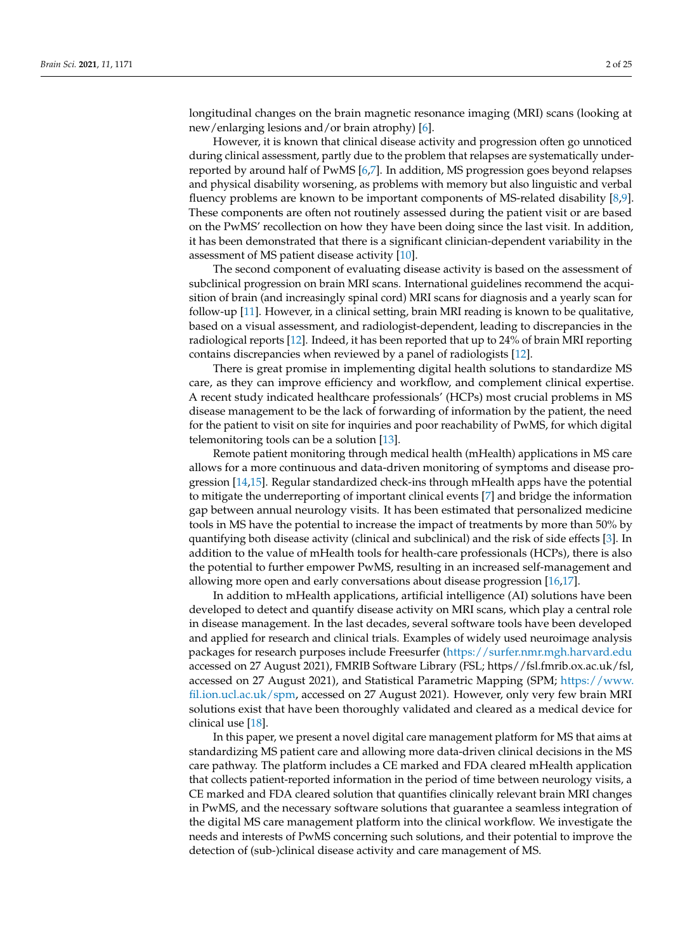longitudinal changes on the brain magnetic resonance imaging (MRI) scans (looking at new/enlarging lesions and/or brain atrophy) [\[6\]](#page-22-5).

However, it is known that clinical disease activity and progression often go unnoticed during clinical assessment, partly due to the problem that relapses are systematically underreported by around half of PwMS [\[6](#page-22-5)[,7\]](#page-22-6). In addition, MS progression goes beyond relapses and physical disability worsening, as problems with memory but also linguistic and verbal fluency problems are known to be important components of MS-related disability [\[8,](#page-22-7)[9\]](#page-22-8). These components are often not routinely assessed during the patient visit or are based on the PwMS' recollection on how they have been doing since the last visit. In addition, it has been demonstrated that there is a significant clinician-dependent variability in the assessment of MS patient disease activity [\[10\]](#page-22-9).

The second component of evaluating disease activity is based on the assessment of subclinical progression on brain MRI scans. International guidelines recommend the acquisition of brain (and increasingly spinal cord) MRI scans for diagnosis and a yearly scan for follow-up [\[11\]](#page-22-10). However, in a clinical setting, brain MRI reading is known to be qualitative, based on a visual assessment, and radiologist-dependent, leading to discrepancies in the radiological reports [\[12\]](#page-22-11). Indeed, it has been reported that up to 24% of brain MRI reporting contains discrepancies when reviewed by a panel of radiologists [\[12\]](#page-22-11).

There is great promise in implementing digital health solutions to standardize MS care, as they can improve efficiency and workflow, and complement clinical expertise. A recent study indicated healthcare professionals' (HCPs) most crucial problems in MS disease management to be the lack of forwarding of information by the patient, the need for the patient to visit on site for inquiries and poor reachability of PwMS, for which digital telemonitoring tools can be a solution [\[13\]](#page-22-12).

Remote patient monitoring through medical health (mHealth) applications in MS care allows for a more continuous and data-driven monitoring of symptoms and disease progression [\[14,](#page-22-13)[15\]](#page-22-14). Regular standardized check-ins through mHealth apps have the potential to mitigate the underreporting of important clinical events [\[7\]](#page-22-6) and bridge the information gap between annual neurology visits. It has been estimated that personalized medicine tools in MS have the potential to increase the impact of treatments by more than 50% by quantifying both disease activity (clinical and subclinical) and the risk of side effects [\[3\]](#page-22-2). In addition to the value of mHealth tools for health-care professionals (HCPs), there is also the potential to further empower PwMS, resulting in an increased self-management and allowing more open and early conversations about disease progression [\[16](#page-22-15)[,17\]](#page-22-16).

In addition to mHealth applications, artificial intelligence (AI) solutions have been developed to detect and quantify disease activity on MRI scans, which play a central role in disease management. In the last decades, several software tools have been developed and applied for research and clinical trials. Examples of widely used neuroimage analysis packages for research purposes include Freesurfer [\(https://surfer.nmr.mgh.harvard.edu](https://surfer.nmr.mgh.harvard.edu) accessed on 27 August 2021), FMRIB Software Library (FSL; https//fsl.fmrib.ox.ac.uk/fsl, accessed on 27 August 2021), and Statistical Parametric Mapping (SPM; [https://www.](https://www.fil.ion.ucl.ac.uk/spm) [fil.ion.ucl.ac.uk/spm,](https://www.fil.ion.ucl.ac.uk/spm) accessed on 27 August 2021). However, only very few brain MRI solutions exist that have been thoroughly validated and cleared as a medical device for clinical use [\[18\]](#page-23-0).

In this paper, we present a novel digital care management platform for MS that aims at standardizing MS patient care and allowing more data-driven clinical decisions in the MS care pathway. The platform includes a CE marked and FDA cleared mHealth application that collects patient-reported information in the period of time between neurology visits, a CE marked and FDA cleared solution that quantifies clinically relevant brain MRI changes in PwMS, and the necessary software solutions that guarantee a seamless integration of the digital MS care management platform into the clinical workflow. We investigate the needs and interests of PwMS concerning such solutions, and their potential to improve the detection of (sub-)clinical disease activity and care management of MS.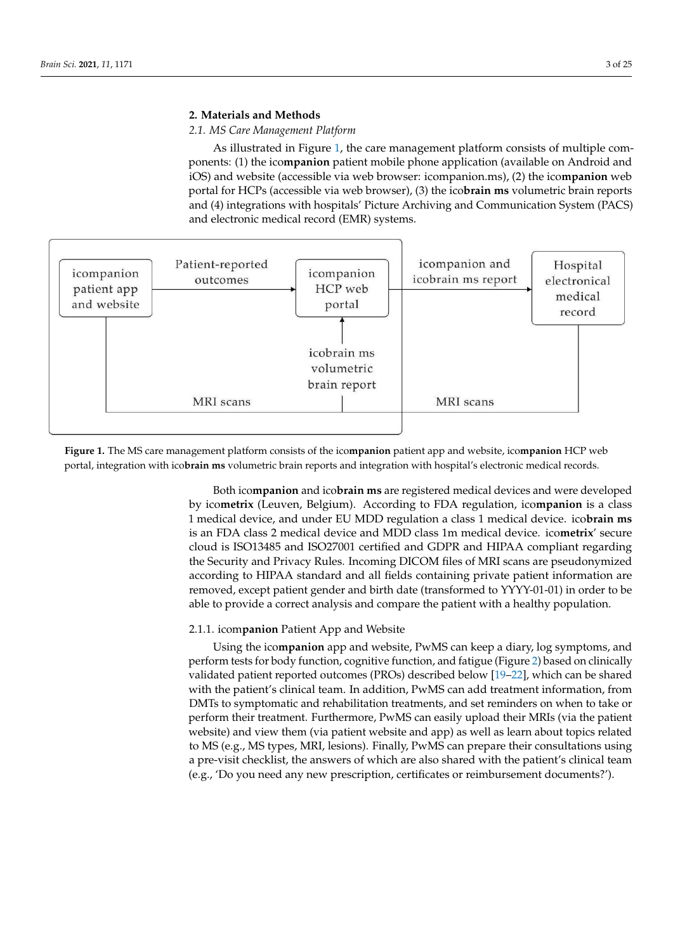# 2. Materials and Methods **2 medical device and Methods**

## 2.1. MS Care Management Platform

As illustrated in Figure 1, the care management platform consists of multiple components: (1) the ico**mpanion** patient mobile phone application (available on Android and iOS) and website (accessible via web browser: icompanion.ms), (2) the ico**mpanion** web (b) and website (accessible via web browser. Icompation.ins), (2) the icompation web<br>portal for HCPs (accessible via web browser), (3) the ico**brain ms** volumetric brain reports provide a correct and the providence and the patient and communication System (PACS) and (4) integrations with hospitals' Picture Archiving and Communication System (PACS) and electronic medical record (EMR) systems.

oped by ico**metrix** (Leuven, Belgium). According to FDA regulation, ico**mpanion** is a class

<span id="page-2-0"></span>

**Figure 1.** The MS care management platform consists of the ico**mpanion** patient app and website, ico**mpanion** HCP web **Figure 1.** The MS care management platform consists of the ico**mpanion** patient app and website, ico**mpanion** HCP web portal, integration with ico**brain ms** volumetric brain reports and integration with hospital's electronic medical records.

Both ico**mpanion** and ico**brain ms** are registered medical devices and were developed 2.1.1. icom**panion** Patient App and Website is an FDA class 2 medical device and MDD class 1m medical device. ico**metrix**' secure cloud is ISO13485 and ISO27001 certified and GDPR and HIPAA compliant regarding the Security and Privacy Rules. Incoming DICOM files of MRI scans are pseudonymized according to HIPAA standard and all fields containing private patient information are<br>according to HIPAA standard and all fields containing private patient information are removely except patient gentler and entirely (diameterized to 1111 or 01) in order to be<br>able to provide a correct analysis and compare the patient with a healthy population. from DMTs to symptomatic and rehabilitation treatments, and set reminders on when to by ico**metrix** (Leuven, Belgium). According to FDA regulation, ico**mpanion** is a class 1 medical device, and under EU MDD regulation a class 1 medical device. ico**brain ms** removed, except patient gender and birth date (transformed to YYYY-01-01) in order to be

# 2.1.1. icom**panion** Patient App and Website

Using the icompanion app and website, PwMS can keep a diary, log symptoms, and periorm tests for body function, cognitive function, and faigue (Figure 2) based of ciniticany<br>validated patient reported outcomes (PROs) described below [\[19–](#page-23-1)[22\]](#page-23-2), which can be shared with the patient's clinical team. In addition, PwMS can add treatment information, from DMTs to symptomatic and rehabilitation treatments, and set reminders on when to take or perform their treatment. Furthermore, PwMS can easily upload their MRIs (via the patient website) and view them (via patient website and app) as well as learn about topics related<br>to MS (e.g., MS types, MBJ legisce). Finally BuMS are gave use their consultations weight particle (eigit) status Spandary Collection, I making the calculation constructions along a pre-visit checklist, the answers of which are also shared with the patient's clinical team (e.g., 'Do you need any new prescription, certificates or reimbursement documents?'). perform tests for body function, cognitive function, and fatigue (Figure [2\)](#page-3-0) based on clinically to MS (e.g., MS types, MRI, lesions). Finally, PwMS can prepare their consultations using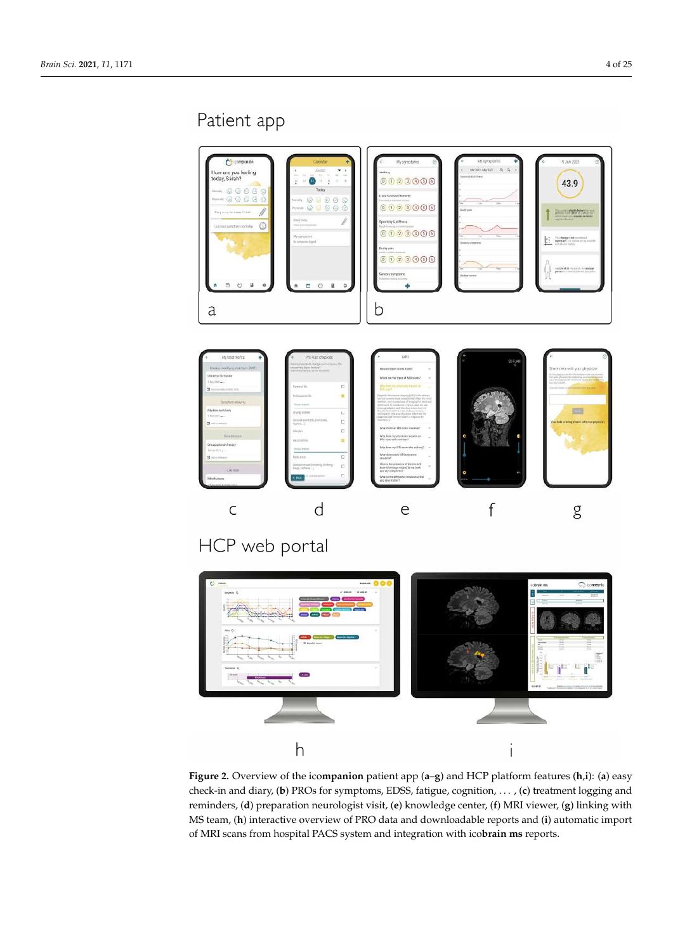# <span id="page-3-0"></span>Patient app



**Figure 2.** Overview of the ico**mpanion** patient app (**a**–**g**) and HCP platform features (**h**,**i**): (**a**) easy check-in and diary, (**b**) PROs for symptoms, EDSS, fatigue, cognition, . . . , (**c**) treatment logging and reminders, (**d**) preparation neurologist visit, (**e**) knowledge center, (**f**) MRI viewer, (**g**) linking with MS team, (**h**) interactive overview of PRO data and downloadable reports and (**i**) automatic import of MRI scans from hospital PACS system and integration with ico**brain ms** reports.

í

 $h$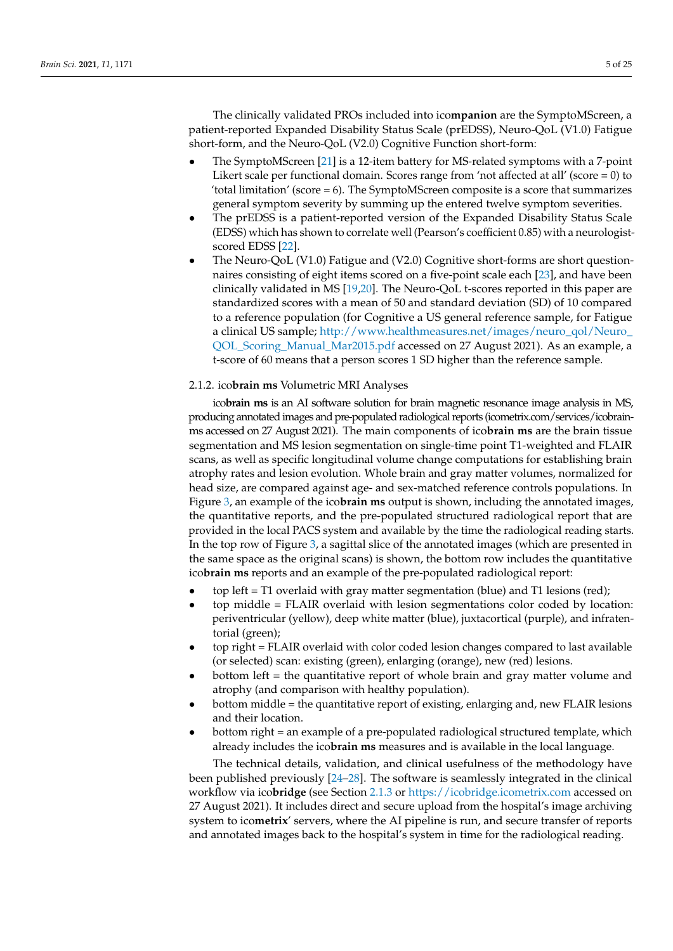The clinically validated PROs included into ico**mpanion** are the SymptoMScreen, a patient-reported Expanded Disability Status Scale (prEDSS), Neuro-QoL (V1.0) Fatigue short-form, and the Neuro-QoL (V2.0) Cognitive Function short-form:

- The SymptoMScreen [\[21\]](#page-23-3) is a 12-item battery for MS-related symptoms with a 7-point Likert scale per functional domain. Scores range from 'not affected at all' (score = 0) to 'total limitation' (score = 6). The SymptoMScreen composite is a score that summarizes general symptom severity by summing up the entered twelve symptom severities.
- The prEDSS is a patient-reported version of the Expanded Disability Status Scale (EDSS) which has shown to correlate well (Pearson's coefficient 0.85) with a neurologistscored EDSS [\[22\]](#page-23-2).
- The Neuro-QoL (V1.0) Fatigue and (V2.0) Cognitive short-forms are short questionnaires consisting of eight items scored on a five-point scale each [\[23\]](#page-23-4), and have been clinically validated in MS [\[19,](#page-23-1)[20\]](#page-23-5). The Neuro-QoL t-scores reported in this paper are standardized scores with a mean of 50 and standard deviation (SD) of 10 compared to a reference population (for Cognitive a US general reference sample, for Fatigue a clinical US sample; [http://www.healthmeasures.net/images/neuro\\_qol/Neuro\\_](http://www.healthmeasures.net/images/neuro_qol/Neuro_QOL_Scoring_Manual_Mar2015.pdf) [QOL\\_Scoring\\_Manual\\_Mar2015.pdf](http://www.healthmeasures.net/images/neuro_qol/Neuro_QOL_Scoring_Manual_Mar2015.pdf) accessed on 27 August 2021). As an example, a t-score of 60 means that a person scores 1 SD higher than the reference sample.

#### 2.1.2. ico**brain ms** Volumetric MRI Analyses

ico**brain ms** is an AI software solution for brain magnetic resonance image analysis in MS, producing annotated images and pre-populated radiological reports (icometrix.com/services/icobrainms accessed on 27 August 2021). The main components of ico**brain ms** are the brain tissue segmentation and MS lesion segmentation on single-time point T1-weighted and FLAIR scans, as well as specific longitudinal volume change computations for establishing brain atrophy rates and lesion evolution. Whole brain and gray matter volumes, normalized for head size, are compared against age- and sex-matched reference controls populations. In Figure [3,](#page-5-0) an example of the ico**brain ms** output is shown, including the annotated images, the quantitative reports, and the pre-populated structured radiological report that are provided in the local PACS system and available by the time the radiological reading starts. In the top row of Figure [3,](#page-5-0) a sagittal slice of the annotated images (which are presented in the same space as the original scans) is shown, the bottom row includes the quantitative ico**brain ms** reports and an example of the pre-populated radiological report:

- top left = T1 overlaid with gray matter segmentation (blue) and T1 lesions (red);
- top middle = FLAIR overlaid with lesion segmentations color coded by location: periventricular (yellow), deep white matter (blue), juxtacortical (purple), and infratentorial (green);
- top right = FLAIR overlaid with color coded lesion changes compared to last available (or selected) scan: existing (green), enlarging (orange), new (red) lesions.
- bottom left = the quantitative report of whole brain and gray matter volume and atrophy (and comparison with healthy population).
- bottom middle = the quantitative report of existing, enlarging and, new FLAIR lesions and their location.
- bottom right = an example of a pre-populated radiological structured template, which already includes the ico**brain ms** measures and is available in the local language.

The technical details, validation, and clinical usefulness of the methodology have been published previously [\[24](#page-23-6)[–28\]](#page-23-7). The software is seamlessly integrated in the clinical workflow via ico**bridge** (see Section [2.1.3](#page-5-1) or <https://icobridge.icometrix.com> accessed on 27 August 2021). It includes direct and secure upload from the hospital's image archiving system to ico**metrix**' servers, where the AI pipeline is run, and secure transfer of reports and annotated images back to the hospital's system in time for the radiological reading.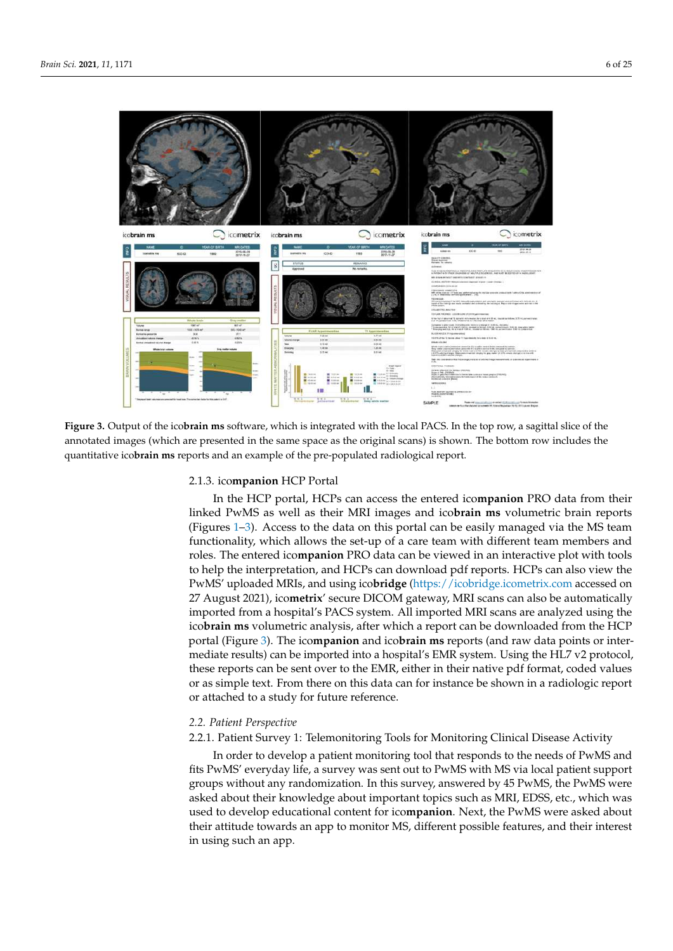<span id="page-5-0"></span>

which already includes the ico**brain ms** measures and is available in the local lan-

Figure 3. Output of the icobrain ms software, which is integrated with the local PACS. In the top row, a sagittal slice of the annotated images (which are presented in the same space as the original scans) is shown. The bottom row includes the quantitative ico**brain ms** reports and an example of the pre-populated radiological report.

#### <span id="page-5-1"></span>2.1.3. ico**mpanion** HCP Portal

In the HCP portal, HCPs can access the entered ico**mpanion** PRO data from their linked PwMS as well as their MRI images and ico**brain ms** volumetric brain reports (Figures [1–](#page-2-0)[3\)](#page-5-0). Access to the data on this portal can be easily managed via the MS team functionality, which allows the set-up of a care team with different team members and roles. The entered ico**mpanion** PRO data can be viewed in an interactive plot with tools to help the interpretation, and HCPs can download pdf reports. HCPs can also view the PwMS' uploaded MRIs, and using ico**bridge** [\(https://icobridge.icometrix.com](https://icobridge.icometrix.com) accessed on 27 August 2021), ico**metrix**' secure DICOM gateway, MRI scans can also be automatically imported from a hospital's PACS system. All imported MRI scans are analyzed using the ico**brain ms** volumetric analysis, after which a report can be downloaded from the HCP portal (Figure [3\)](#page-5-0). The ico**mpanion** and ico**brain ms** reports (and raw data points or intermediate results) can be imported into a hospital's EMR system. Using the HL7 v2 protocol, these reports can be sent over to the EMR, either in their native pdf format, coded values or as simple text. From there on this data can for instance be shown in a radiologic report or attached to a study for future reference.

#### *2.2. Patient Perspective*

#### 2.2.1. Patient Survey 1: Telemonitoring Tools for Monitoring Clinical Disease Activity

In order to develop a patient monitoring tool that responds to the needs of PwMS and fits PwMS' everyday life, a survey was sent out to PwMS with MS via local patient support groups without any randomization. In this survey, answered by 45 PwMS, the PwMS were asked about their knowledge about important topics such as MRI, EDSS, etc., which was used to develop educational content for ico**mpanion**. Next, the PwMS were asked about their attitude towards an app to monitor MS, different possible features, and their interest in using such an app.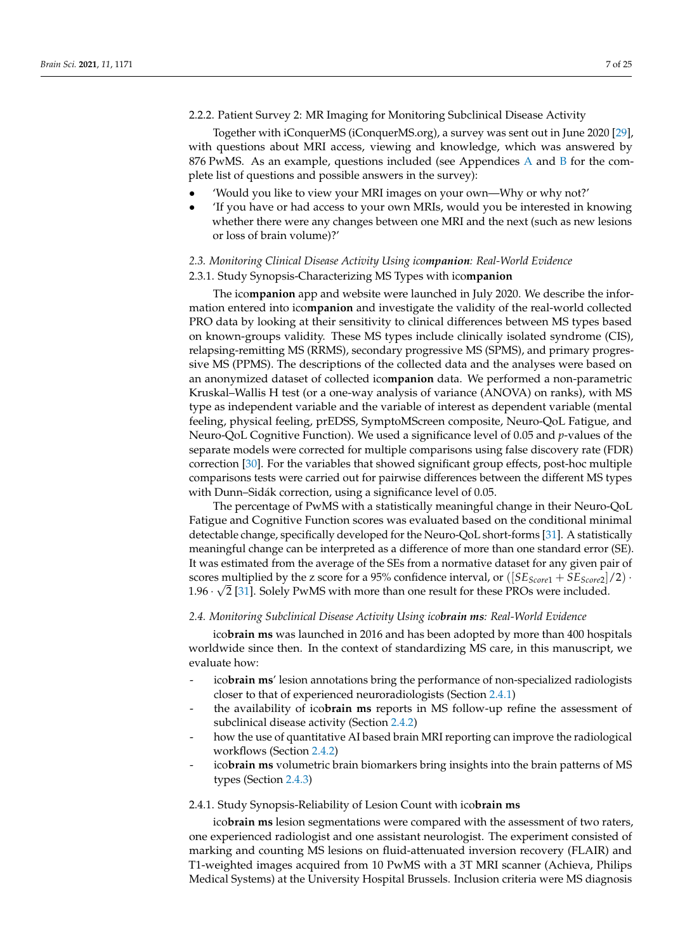Together with iConquerMS (iConquerMS.org), a survey was sent out in June 2020 [\[29\]](#page-23-8), with questions about MRI access, viewing and knowledge, which was answered by 876 PwMS. As an example, questions included (see Appendices [A](#page-19-0) and [B](#page-21-0) for the complete list of questions and possible answers in the survey):

- 'Would you like to view your MRI images on your own—Why or why not?'
- 'If you have or had access to your own MRIs, would you be interested in knowing whether there were any changes between one MRI and the next (such as new lesions or loss of brain volume)?'

### *2.3. Monitoring Clinical Disease Activity Using icompanion: Real-World Evidence*

#### <span id="page-6-1"></span>2.3.1. Study Synopsis-Characterizing MS Types with ico**mpanion**

The ico**mpanion** app and website were launched in July 2020. We describe the information entered into ico**mpanion** and investigate the validity of the real-world collected PRO data by looking at their sensitivity to clinical differences between MS types based on known-groups validity. These MS types include clinically isolated syndrome (CIS), relapsing-remitting MS (RRMS), secondary progressive MS (SPMS), and primary progressive MS (PPMS). The descriptions of the collected data and the analyses were based on an anonymized dataset of collected ico**mpanion** data. We performed a non-parametric Kruskal–Wallis H test (or a one-way analysis of variance (ANOVA) on ranks), with MS type as independent variable and the variable of interest as dependent variable (mental feeling, physical feeling, prEDSS, SymptoMScreen composite, Neuro-QoL Fatigue, and Neuro-QoL Cognitive Function). We used a significance level of 0.05 and *p*-values of the separate models were corrected for multiple comparisons using false discovery rate (FDR) correction [\[30\]](#page-23-9). For the variables that showed significant group effects, post-hoc multiple comparisons tests were carried out for pairwise differences between the different MS types with Dunn–Sidák correction, using a significance level of 0.05.

The percentage of PwMS with a statistically meaningful change in their Neuro-QoL Fatigue and Cognitive Function scores was evaluated based on the conditional minimal detectable change, specifically developed for the Neuro-QoL short-forms [\[31\]](#page-23-10). A statistically meaningful change can be interpreted as a difference of more than one standard error (SE). It was estimated from the average of the SEs from a normative dataset for any given pair of scores multiplied by the z score for a 95% confidence interval, or  $([SE_{Score1} + SE_{Score2}]/2)$ . 1.96  $\cdot$   $\sqrt{2}$  [\[31\]](#page-23-10). Solely PwMS with more than one result for these PROs were included.

#### *2.4. Monitoring Subclinical Disease Activity Using icobrain ms: Real-World Evidence*

ico**brain ms** was launched in 2016 and has been adopted by more than 400 hospitals worldwide since then. In the context of standardizing MS care, in this manuscript, we evaluate how:

- ico**brain ms**' lesion annotations bring the performance of non-specialized radiologists closer to that of experienced neuroradiologists (Section [2.4.1\)](#page-6-0)
- the availability of ico**brain ms** reports in MS follow-up refine the assessment of subclinical disease activity (Section [2.4.2\)](#page-7-0)
- how the use of quantitative AI based brain MRI reporting can improve the radiological workflows (Section [2.4.2\)](#page-7-0)
- ico**brain ms** volumetric brain biomarkers bring insights into the brain patterns of MS types (Section [2.4.3\)](#page-7-1)

#### <span id="page-6-0"></span>2.4.1. Study Synopsis-Reliability of Lesion Count with ico**brain ms**

ico**brain ms** lesion segmentations were compared with the assessment of two raters, one experienced radiologist and one assistant neurologist. The experiment consisted of marking and counting MS lesions on fluid-attenuated inversion recovery (FLAIR) and T1-weighted images acquired from 10 PwMS with a 3T MRI scanner (Achieva, Philips Medical Systems) at the University Hospital Brussels. Inclusion criteria were MS diagnosis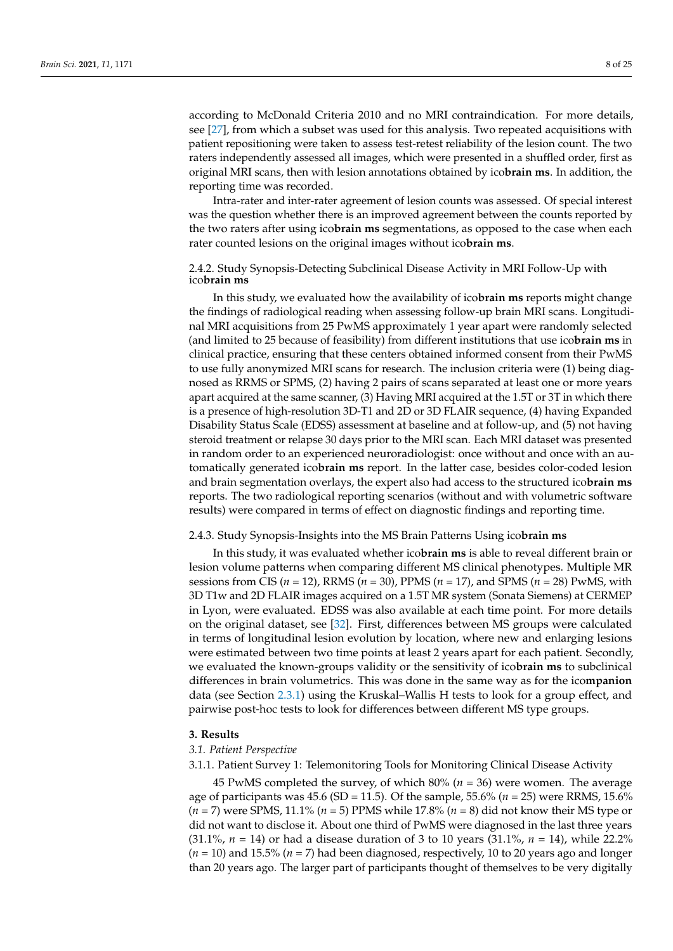according to McDonald Criteria 2010 and no MRI contraindication. For more details, see [\[27\]](#page-23-11), from which a subset was used for this analysis. Two repeated acquisitions with patient repositioning were taken to assess test-retest reliability of the lesion count. The two raters independently assessed all images, which were presented in a shuffled order, first as original MRI scans, then with lesion annotations obtained by ico**brain ms**. In addition, the reporting time was recorded.

Intra-rater and inter-rater agreement of lesion counts was assessed. Of special interest was the question whether there is an improved agreement between the counts reported by the two raters after using ico**brain ms** segmentations, as opposed to the case when each rater counted lesions on the original images without ico**brain ms**.

#### <span id="page-7-0"></span>2.4.2. Study Synopsis-Detecting Subclinical Disease Activity in MRI Follow-Up with ico**brain ms**

In this study, we evaluated how the availability of ico**brain ms** reports might change the findings of radiological reading when assessing follow-up brain MRI scans. Longitudinal MRI acquisitions from 25 PwMS approximately 1 year apart were randomly selected (and limited to 25 because of feasibility) from different institutions that use ico**brain ms** in clinical practice, ensuring that these centers obtained informed consent from their PwMS to use fully anonymized MRI scans for research. The inclusion criteria were (1) being diagnosed as RRMS or SPMS, (2) having 2 pairs of scans separated at least one or more years apart acquired at the same scanner, (3) Having MRI acquired at the 1.5T or 3T in which there is a presence of high-resolution 3D-T1 and 2D or 3D FLAIR sequence, (4) having Expanded Disability Status Scale (EDSS) assessment at baseline and at follow-up, and (5) not having steroid treatment or relapse 30 days prior to the MRI scan. Each MRI dataset was presented in random order to an experienced neuroradiologist: once without and once with an automatically generated ico**brain ms** report. In the latter case, besides color-coded lesion and brain segmentation overlays, the expert also had access to the structured ico**brain ms** reports. The two radiological reporting scenarios (without and with volumetric software results) were compared in terms of effect on diagnostic findings and reporting time.

#### <span id="page-7-1"></span>2.4.3. Study Synopsis-Insights into the MS Brain Patterns Using ico**brain ms**

In this study, it was evaluated whether ico**brain ms** is able to reveal different brain or lesion volume patterns when comparing different MS clinical phenotypes. Multiple MR sessions from CIS (*n* = 12), RRMS (*n* = 30), PPMS (*n* = 17), and SPMS (*n* = 28) PwMS, with 3D T1w and 2D FLAIR images acquired on a 1.5T MR system (Sonata Siemens) at CERMEP in Lyon, were evaluated. EDSS was also available at each time point. For more details on the original dataset, see [\[32\]](#page-23-12). First, differences between MS groups were calculated in terms of longitudinal lesion evolution by location, where new and enlarging lesions were estimated between two time points at least 2 years apart for each patient. Secondly, we evaluated the known-groups validity or the sensitivity of ico**brain ms** to subclinical differences in brain volumetrics. This was done in the same way as for the ico**mpanion** data (see Section [2.3.1\)](#page-6-1) using the Kruskal–Wallis H tests to look for a group effect, and pairwise post-hoc tests to look for differences between different MS type groups.

#### **3. Results**

#### *3.1. Patient Perspective*

3.1.1. Patient Survey 1: Telemonitoring Tools for Monitoring Clinical Disease Activity

45 PwMS completed the survey, of which 80% (*n* = 36) were women. The average age of participants was 45.6 (SD = 11.5). Of the sample, 55.6% (*n* = 25) were RRMS, 15.6% (*n* = 7) were SPMS, 11.1% (*n* = 5) PPMS while 17.8% (*n* = 8) did not know their MS type or did not want to disclose it. About one third of PwMS were diagnosed in the last three years (31.1%, *n* = 14) or had a disease duration of 3 to 10 years (31.1%, *n* = 14), while 22.2% (*n* = 10) and 15.5% (*n* = 7) had been diagnosed, respectively, 10 to 20 years ago and longer than 20 years ago. The larger part of participants thought of themselves to be very digitally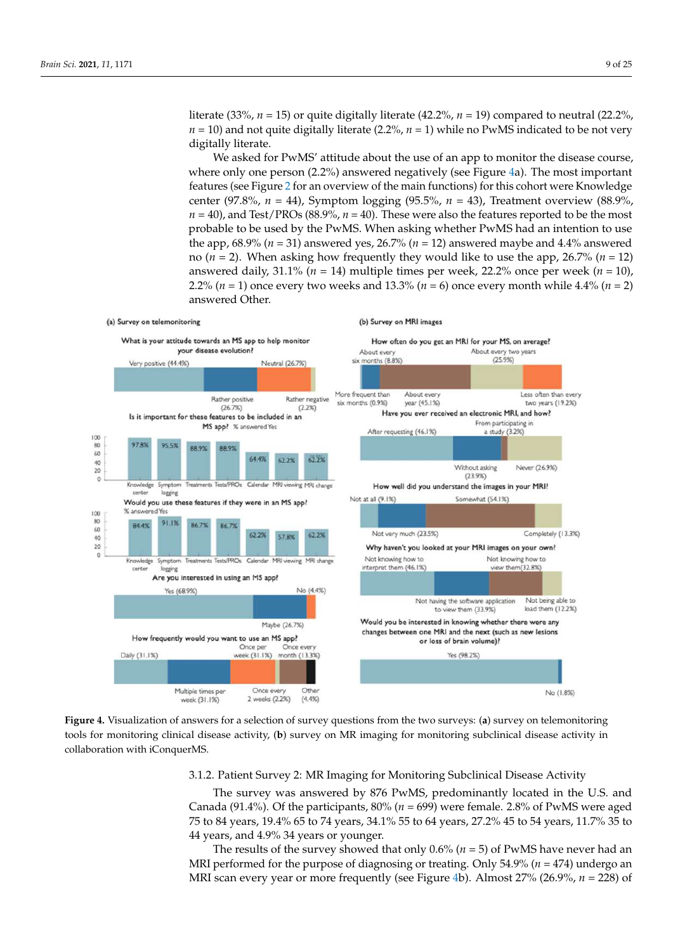literate (33%, *n* = 15) or quite digitally literate (42.2%, *n* = 19) compared to neutral (22.2%,  $n = 10$ ) and not quite digitally literate (2.2%,  $n = 1$ ) while no PwMS indicated to be not very digitally literate.

We asked for PwMS' attitude about the use of an app to monitor the disease course, where only one person (2.2%) answered negatively (see Figure [4a](#page-8-0)). The most important features (see Figure [2](#page-3-0) for an overview of the main functions) for this cohort were Knowledge center (97.8%, *n* = 44), Symptom logging (95.5%, *n* = 43), Treatment overview (88.9%,  $n = 40$ ), and Test/PROs (88.9%,  $n = 40$ ). These were also the features reported to be the most probable to be used by the PwMS. When asking whether PwMS had an intention to use the app, 68.9% (*n* = 31) answered yes, 26.7% (*n* = 12) answered maybe and 4.4% answered no ( $n = 2$ ). When asking how frequently they would like to use the app, 26.7% ( $n = 12$ ) answered daily,  $31.1\%$  ( $n = 14$ ) multiple times per week,  $22.2\%$  once per week ( $n = 10$ ), 2.2% (*n* = 1) once every two weeks and 13.3% (*n* = 6) once every month while 4.4% (*n* = 2) answered Other.

<span id="page-8-0"></span>

Figure 4. Visualization of answers for a selection of survey questions from the two surveys: (a) survey on telemonitoring tools for monitoring clinical disease activity, (b) survey on MR imaging for monitoring subclinical disease activity in laboration with iConquerMS. collaboration with iConquerMS.

### 3.1.2. Patient Survey 2: MR Imaging for Monitoring Subclinical Disease Activity

The survey was answered by 876 PwMS, predominantly located in the U.S. and Canada (91.4%). Of the participants, 80% (*n* = 699) were female. 2.8% of PwMS were aged<br> $\overline{P} = 0.417 \times 10^{10} \times 51^{10} \times 70^{10} \times 70^{10} \times 70^{10} \times 70^{10} \times 70^{10} \times 70^{10} \times 70^{10} \times 70^{10} \times 70^{10} \times 70^{10} \times 70^{10} \$ 75 to 84 years, 19.4% 65 to 74 years, 34.1% 55 to 64 years, 27.2% 45 to 54 years, 11.7% 35 to<br>...  $\frac{1}{\pi}$  years, and  $\frac{1}{\pi}$ ,  $\frac{1}{\theta}$  years of younger. 44 years, and 4.9% 34 years or younger.

The results of the survey showed that only  $0.6\%$  ( $n = 5$ ) of PwMS have never had an MRI performed for the purpose of diagnosing or treating. Only 54.9% (*n* = 474) undergo an<br>MRI performed for the purpose of diagnosing or treating. Only 54.9% (*n* = 474) undergo an MRI scan every year or more frequently (see Figure [4b](#page-8-0)). Almost 27% (26.9%, *n* = 228) of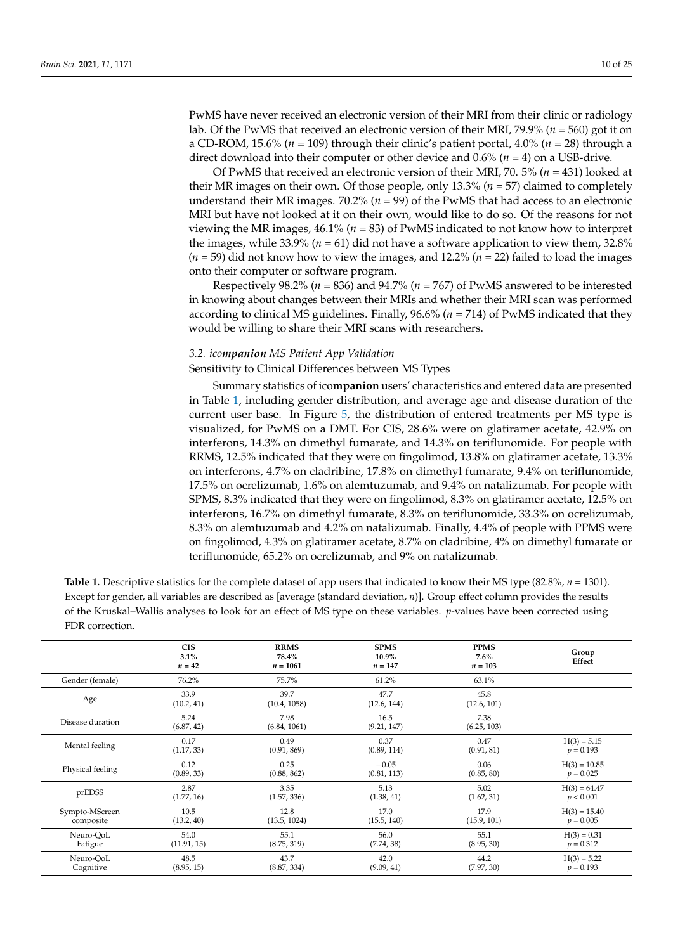PwMS have never received an electronic version of their MRI from their clinic or radiology lab. Of the PwMS that received an electronic version of their MRI, 79.9% (*n* = 560) got it on a CD-ROM, 15.6% (*n* = 109) through their clinic's patient portal, 4.0% (*n* = 28) through a direct download into their computer or other device and 0.6% (*n* = 4) on a USB-drive.

Of PwMS that received an electronic version of their MRI, 70. 5% (*n* = 431) looked at their MR images on their own. Of those people, only 13.3% (*n* = 57) claimed to completely understand their MR images. 70.2% (*n* = 99) of the PwMS that had access to an electronic MRI but have not looked at it on their own, would like to do so. Of the reasons for not viewing the MR images, 46.1% (*n* = 83) of PwMS indicated to not know how to interpret the images, while  $33.9\%$  ( $n = 61$ ) did not have a software application to view them,  $32.8\%$ (*n* = 59) did not know how to view the images, and 12.2% (*n* = 22) failed to load the images onto their computer or software program.

Respectively 98.2% (*n* = 836) and 94.7% (*n* = 767) of PwMS answered to be interested in knowing about changes between their MRIs and whether their MRI scan was performed according to clinical MS guidelines. Finally, 96.6% (*n* = 714) of PwMS indicated that they would be willing to share their MRI scans with researchers.

#### *3.2. icompanion MS Patient App Validation*

#### Sensitivity to Clinical Differences between MS Types

Summary statistics of ico**mpanion** users' characteristics and entered data are presented in Table [1,](#page-9-0) including gender distribution, and average age and disease duration of the current user base. In Figure [5,](#page-10-0) the distribution of entered treatments per MS type is visualized, for PwMS on a DMT. For CIS, 28.6% were on glatiramer acetate, 42.9% on interferons, 14.3% on dimethyl fumarate, and 14.3% on teriflunomide. For people with RRMS, 12.5% indicated that they were on fingolimod, 13.8% on glatiramer acetate, 13.3% on interferons, 4.7% on cladribine, 17.8% on dimethyl fumarate, 9.4% on teriflunomide, 17.5% on ocrelizumab, 1.6% on alemtuzumab, and 9.4% on natalizumab. For people with SPMS, 8.3% indicated that they were on fingolimod, 8.3% on glatiramer acetate, 12.5% on interferons, 16.7% on dimethyl fumarate, 8.3% on teriflunomide, 33.3% on ocrelizumab, 8.3% on alemtuzumab and 4.2% on natalizumab. Finally, 4.4% of people with PPMS were on fingolimod, 4.3% on glatiramer acetate, 8.7% on cladribine, 4% on dimethyl fumarate or teriflunomide, 65.2% on ocrelizumab, and 9% on natalizumab.

<span id="page-9-0"></span>

| <b>Table 1.</b> Descriptive statistics for the complete dataset of app users that indicated to know their MS type (82.8%, $n = 1301$ ). |
|-----------------------------------------------------------------------------------------------------------------------------------------|
| Except for gender, all variables are described as [average (standard deviation, $n$ )]. Group effect column provides the results        |
| of the Kruskal–Wallis analyses to look for an effect of MS type on these variables. <i>p</i> -values have been corrected using          |
| FDR correction.                                                                                                                         |

|                  | <b>CIS</b><br>3.1%<br>$n = 42$ | <b>RRMS</b><br>78.4%<br>$n = 1061$ | <b>SPMS</b><br>10.9%<br>$n = 147$ | <b>PPMS</b><br>$7.6\%$<br>$n = 103$ | Group<br>Effect |
|------------------|--------------------------------|------------------------------------|-----------------------------------|-------------------------------------|-----------------|
| Gender (female)  | 76.2%                          | 75.7%                              | 61.2%                             | 63.1%                               |                 |
| Age              | 33.9<br>(10.2, 41)             | 39.7<br>(10.4, 1058)               | 47.7<br>(12.6, 144)               | 45.8<br>(12.6, 101)                 |                 |
| Disease duration | 5.24<br>(6.87, 42)             | 7.98<br>(6.84, 1061)               | 16.5<br>(9.21, 147)               | 7.38<br>(6.25, 103)                 |                 |
| Mental feeling   | 0.17                           | 0.49                               | 0.37                              | 0.47                                | $H(3) = 5.15$   |
|                  | (1.17, 33)                     | (0.91, 869)                        | (0.89, 114)                       | (0.91, 81)                          | $p = 0.193$     |
| Physical feeling | 0.12                           | 0.25                               | $-0.05$                           | 0.06                                | $H(3) = 10.85$  |
|                  | (0.89, 33)                     | (0.88, 862)                        | (0.81, 113)                       | (0.85, 80)                          | $p = 0.025$     |
| prEDSS           | 2.87                           | 3.35                               | 5.13                              | 5.02                                | $H(3) = 64.47$  |
|                  | (1.77, 16)                     | (1.57, 336)                        | (1.38, 41)                        | (1.62, 31)                          | p < 0.001       |
| Sympto-MScreen   | 10.5                           | 12.8                               | 17.0                              | 17.9                                | $H(3) = 15.40$  |
| composite        | (13.2, 40)                     | (13.5, 1024)                       | (15.5, 140)                       | (15.9, 101)                         | $p = 0.005$     |
| Neuro-QoL        | 54.0                           | 55.1                               | 56.0                              | 55.1                                | $H(3) = 0.31$   |
| Fatigue          | (11.91, 15)                    | (8.75, 319)                        | (7.74, 38)                        | (8.95, 30)                          | $p = 0.312$     |
| Neuro-OoL        | 48.5                           | 43.7                               | 42.0                              | 44.2                                | $H(3) = 5.22$   |
| Cognitive        | (8.95, 15)                     | (8.87, 334)                        | (9.09, 41)                        | (7.97, 30)                          | $p = 0.193$     |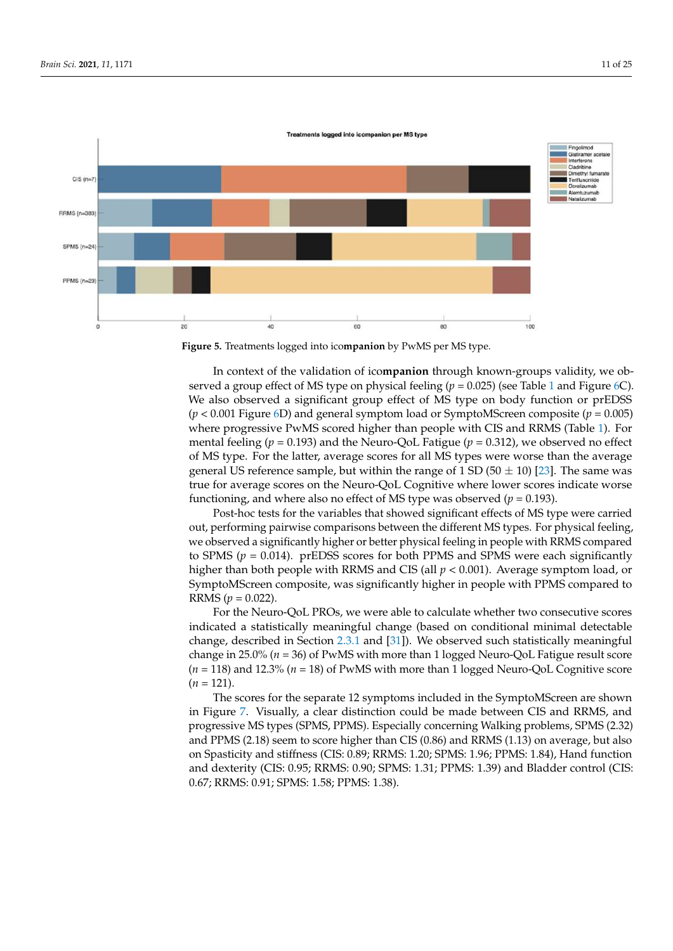<span id="page-10-0"></span>



**Figure 5.** Treatments logged into ico**mpanion** by PwMS per MS type*.*  served a group effect of MS type on physical feeling (*p* = 0.025) (see Table 1 and Figure [6C](#page-11-0)). We also observed a significant group effect of MS type on body function or prEDSS<br>(w. 0.001 Figure (D) and group large taped as formately Concentrate (g, 0.005) where progressive PwMS scored higher than people with CIS and RRMS (Table [1\)](#page-9-0). For mental feeling ( $p = 0.193$ ) and the Neuro-QoL Fatigue ( $p = 0.312$ ), we observed no effect of MS type. For the latter, average scores for all MS types were worse than the average *S* **10.9 10.9 10.9 10.9 10.9 10.9 10.9 10.9 10.9 10.9 10.9 10.9 10.9 10.9 10.9 10.9 10.9 10.9 10.9 <b> 10.9 <b> 10.9 10.9 10.0 10.9 10.0 10.9 10.0 10.0** functioning, and where also no effect of MS type was observed ( $p = 0.193$ ). general US reference sample, but within the range of 1 SD (50  $\pm$  10) [\[23\]](#page-23-4). The same was In context of the validation of ico**mpanion** through known-groups validity, we ob-(*p* < 0.001 Figure [6D](#page-11-0)) and general symptom load or SymptoMScreen composite (*p* = 0.005)

out, performing pairwise comparisons between the different MS types. For physical feeling, we observed a significantly higher or better physical feeling in people with RRMS compared  $\frac{1}{2}$  SymptoMScreen composite, was significantly higher in people with PPMS compared to  $\overline{RRMS}$  (*p* = 0.022).  $\sim$  $\begin{bmatrix} 0 & 1 \\ 1 & 0 \end{bmatrix}$ Post-hoc tests for the variables that showed significant effects of MS type were carried to SPMS (*p* = 0.014). prEDSS scores for both PPMS and SPMS were each significantly higher than both people with RRMS and CIS (all *p* < 0.001). Average symptom load, or

indicated a statistically meaningful change (based on conditional minimal detectable change, described in Section [2.3.1](#page-6-1) and [\[31\]](#page-23-10)). We observed such statistically meaningful  $(n-110)$ <br>  $(n = 121)$ . (*n* = 118) and 12.3% (*n* = 18) of PwMS with more than 1 logged Neuro-QoL Cognitive score<br>(*n* = 121) For the Neuro-QoL PROs, we were able to calculate whether two consecutive scores change in 25.0% (*n* = 36) of PwMS with more than 1 logged Neuro-QoL Fatigue result score

The scores for the separate 12 symptoms included in the SymptoMScreen are shown progressive MS types (SPMS, PPMS). Especially concerning Walking problems, SPMS (2.32) and PPMS (2.18) seem to score higher than CIS (0.86) and RRMS (1.13) on average, but also and dexiemly (CB. 0.99),<br>0.67; RRMS: 0.91; SPMS: ں , ں *..*<br>70. 1 (1.57, 336) 0.67; RRMS: 0.91; SPMS: 1.58; PPMS: 1.38).and dexterity (CIS: 0.95; RRMS: 0.90; SPMS: 1.31; PPMS: 1.39) and Bladder control (CIS:<br>0.47: RRMS: 0.01; SPMS: 1.59; PPMS: 1.29) in Figure [7.](#page-11-1) Visually, a clear distinction could be made between CIS and RRMS, and on Spasticity and stiffness (CIS: 0.89; RRMS: 1.20; SPMS: 1.96; PPMS: 1.84), Hand function

*Brain Sci.* **2021**, *11*, x FOR PEER REVIEW 12 of 27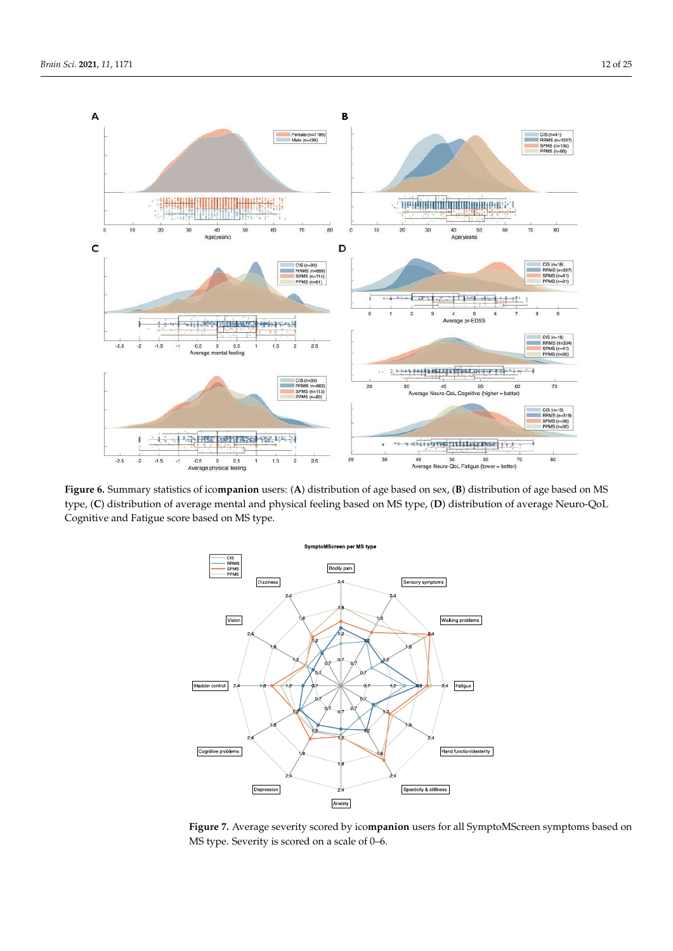$-2.5$  $-2$  $-1.5$ 

<span id="page-11-0"></span>

Figure 6. Summary statistics of icompanion users: (A) distribution of age based on sex, (B) distribution of age based on MS type, (C) distribution of average mental and physical feeling based on MS type, (D) distribution of average Neuro-QoL Cognitive and Fatigue score based on MS type.

 $\frac{0.5}{0.5}$  0 0.5 1 1.5 2 2.5 20 30 40 50 60 70 80

and Philosophia (2.18) seem to score higher than CIS (2.86) and RRMS (1.13) on average, but we are average, but we are average, but we are average, but we are average, but we are average, but we are average, but we are ave

<span id="page-11-1"></span>

**Figure 7.** Average severity scored by ico**mpanion** users for all SymptoMScreen symptoms based on **Figure 7.** Average severity scored by ico**mpanion** users for all SymptoMScreen symptoms based on MS type. Severity is scored on a scale of 0–6. MS type. Severity is scored on a scale of 0–6.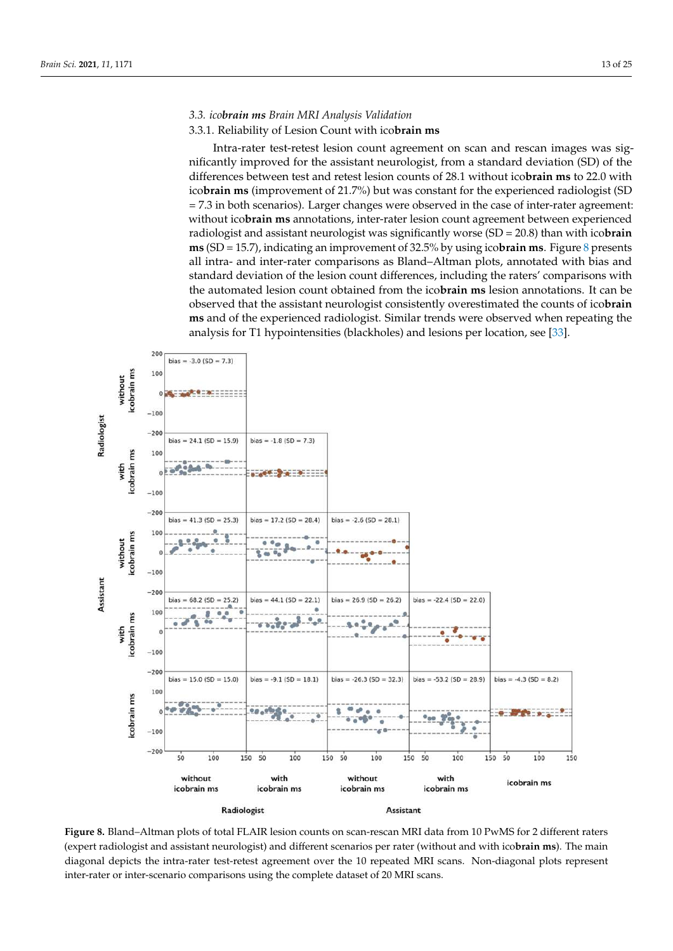### *3.3. icobrain ms Brain MRI Analysis Validation*

#### 3.3.1. Reliability of Lesion Count with ico**brain ms**

Intra-rater test-retest lesion count agreement on scan and rescan images was significantly improved for the assistant neurologist, from a standard deviation (SD) of the differences between test and retest lesion counts of 28.1 without ico**brain ms** to 22.0 with ico**brain ms** (improvement of 21.7%) but was constant for the experienced radiologist (SD = 7.3 in both scenarios). Larger changes were observed in the case of inter-rater agreement: without ico**brain ms** annotations, inter-rater lesion count agreement between experienced radiologist and assistant neurologist was significantly worse (SD = 20.8) than with ico**brain ms** (SD = 15.7), indicating an improvement of 32.5% by using ico**brain ms**. Figure [8](#page-12-0) presents all intra- and inter-rater comparisons as Bland–Altman plots, annotated with bias and standard deviation of the lesion count differences, including the raters' comparisons with the automated lesion count obtained from the ico**brain ms** lesion annotations. It can be observed that the assistant neurologist consistently overestimated the counts of icobrain **ms** and of the experienced radiologist. Similar trends were observed when repeating the analysis for T1 hypointensities (blackholes) and lesions per location, see [\[33\]](#page-23-13).

<span id="page-12-0"></span>

Figure 8. Bland–Altman plots of total FLAIR lesion counts on scan-rescan MRI data from 10 PwMS for 2 different raters (expert radiologist and assistant neurologist) and different scenarios per rater (without and with ico**brain ms**). The main diagonal depicts the intra-rater test-retest agreement over the 10 repeated MRI scans. Non-diagonal plots represent inter-rater or inter-scenario comparisons using the complete dataset of 20 MRI scans.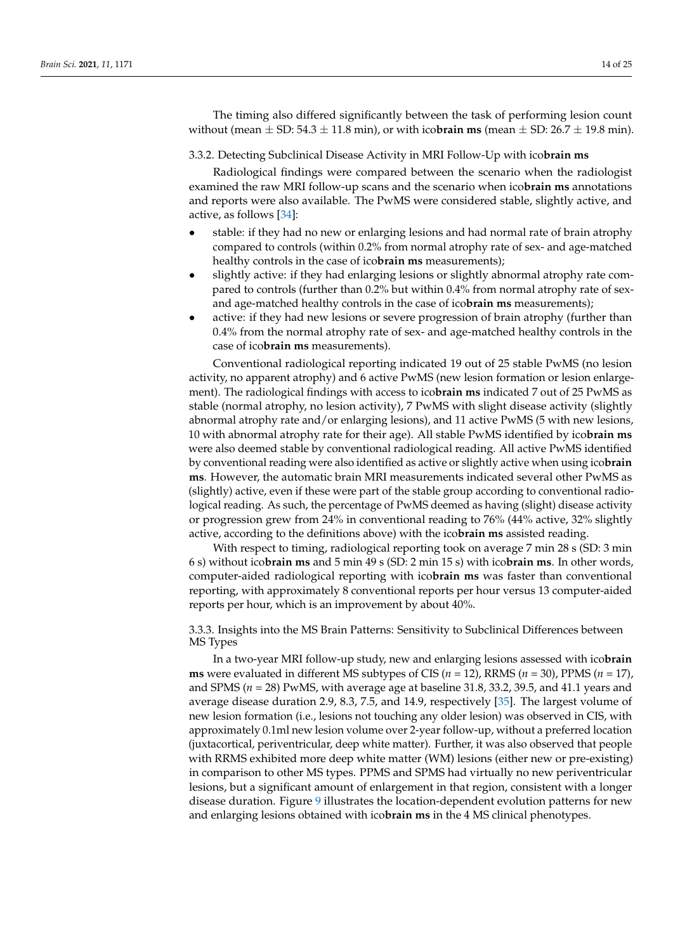The timing also differed significantly between the task of performing lesion count without (mean  $\pm$  SD: 54.3  $\pm$  11.8 min), or with ico**brain ms** (mean  $\pm$  SD: 26.7  $\pm$  19.8 min).

3.3.2. Detecting Subclinical Disease Activity in MRI Follow-Up with ico**brain ms**

Radiological findings were compared between the scenario when the radiologist examined the raw MRI follow-up scans and the scenario when ico**brain ms** annotations and reports were also available. The PwMS were considered stable, slightly active, and active, as follows [\[34\]](#page-23-14):

- stable: if they had no new or enlarging lesions and had normal rate of brain atrophy compared to controls (within 0.2% from normal atrophy rate of sex- and age-matched healthy controls in the case of ico**brain ms** measurements);
- slightly active: if they had enlarging lesions or slightly abnormal atrophy rate compared to controls (further than 0.2% but within 0.4% from normal atrophy rate of sexand age-matched healthy controls in the case of ico**brain ms** measurements);
- active: if they had new lesions or severe progression of brain atrophy (further than 0.4% from the normal atrophy rate of sex- and age-matched healthy controls in the case of ico**brain ms** measurements).

Conventional radiological reporting indicated 19 out of 25 stable PwMS (no lesion activity, no apparent atrophy) and 6 active PwMS (new lesion formation or lesion enlargement). The radiological findings with access to ico**brain ms** indicated 7 out of 25 PwMS as stable (normal atrophy, no lesion activity), 7 PwMS with slight disease activity (slightly abnormal atrophy rate and/or enlarging lesions), and 11 active PwMS (5 with new lesions, 10 with abnormal atrophy rate for their age). All stable PwMS identified by ico**brain ms** were also deemed stable by conventional radiological reading. All active PwMS identified by conventional reading were also identified as active or slightly active when using ico**brain ms**. However, the automatic brain MRI measurements indicated several other PwMS as (slightly) active, even if these were part of the stable group according to conventional radiological reading. As such, the percentage of PwMS deemed as having (slight) disease activity or progression grew from 24% in conventional reading to 76% (44% active, 32% slightly active, according to the definitions above) with the ico**brain ms** assisted reading.

With respect to timing, radiological reporting took on average 7 min 28 s (SD: 3 min 6 s) without ico**brain ms** and 5 min 49 s (SD: 2 min 15 s) with ico**brain ms**. In other words, computer-aided radiological reporting with ico**brain ms** was faster than conventional reporting, with approximately 8 conventional reports per hour versus 13 computer-aided reports per hour, which is an improvement by about 40%.

3.3.3. Insights into the MS Brain Patterns: Sensitivity to Subclinical Differences between MS Types

In a two-year MRI follow-up study, new and enlarging lesions assessed with ico**brain ms** were evaluated in different MS subtypes of CIS (*n* = 12), RRMS (*n* = 30), PPMS (*n* = 17), and SPMS (*n* = 28) PwMS, with average age at baseline 31.8, 33.2, 39.5, and 41.1 years and average disease duration 2.9, 8.3, 7.5, and 14.9, respectively [\[35\]](#page-23-15). The largest volume of new lesion formation (i.e., lesions not touching any older lesion) was observed in CIS, with approximately 0.1ml new lesion volume over 2-year follow-up, without a preferred location (juxtacortical, periventricular, deep white matter). Further, it was also observed that people with RRMS exhibited more deep white matter (WM) lesions (either new or pre-existing) in comparison to other MS types. PPMS and SPMS had virtually no new periventricular lesions, but a significant amount of enlargement in that region, consistent with a longer disease duration. Figure [9](#page-14-0) illustrates the location-dependent evolution patterns for new and enlarging lesions obtained with ico**brain ms** in the 4 MS clinical phenotypes.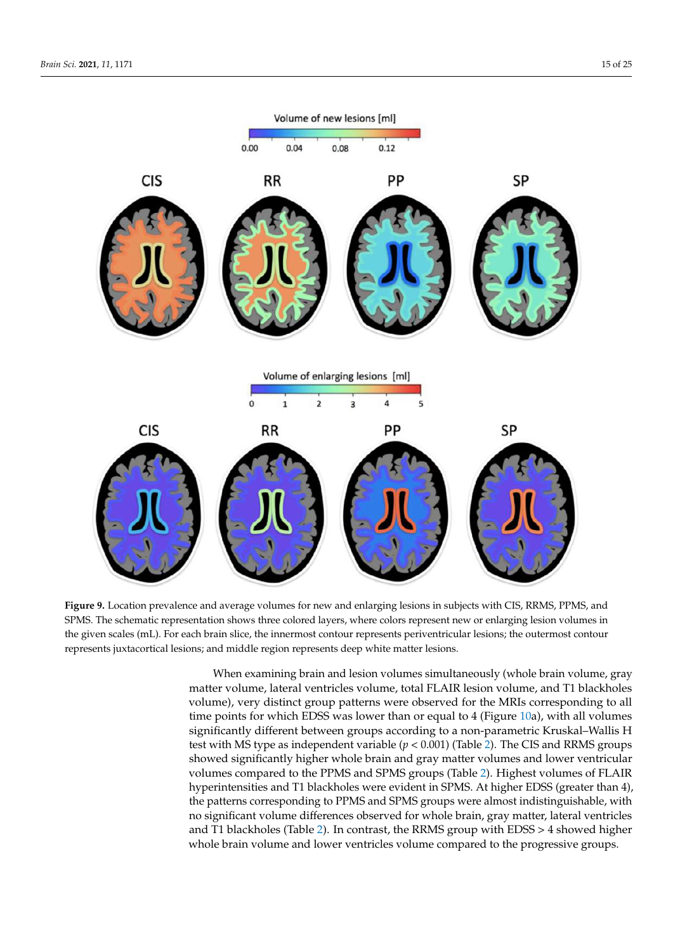<span id="page-14-0"></span>

Figure 9. Location prevalence and average volumes for new and enlarging lesions in subjects with CIS, RRMS, PPMS, and<br>2014 12: The Case of the Universe of the Universe of the Universe of the Universe of the Universe of the EX WE. The schematic representation shows three colored layers, where colors represent new or entarging resion volumes in the given scales (mL). For each brain slice, the innermost contour represents periventricular lesion represents juxtacortical lesions; and middle region represents deep white matter lesions. SPMS. The schematic representation shows three colored layers, where colors represent new or enlarging lesion volumes in

When examining brain and lesion volumes simultaneously (whole brain volume, gray matter volume, lateral ventricles volume, total FLAIR lesion volume, and T1 blackholes time points for which EDSS was lower than or equal to 4 (Figure [10a](#page-15-0)), with all volumes<br>time points for which EDSS was lower than or equal to 4 (Figure 10a), with all volumes test with MS type as independent variable  $(p < 0.001)$  (Table 2). The CIS and RRMS groups showed significantly higher whole brain and gray matter volumes and lower ventricular<br> $\frac{1}{2}$ by built be pointed to the 11 MS and SI MS groups (Table 2). Thence volumes of 1 EARS hyperintensities and T1 blackholes were evident in SPMS. At higher EDSS (greater than 4), the patterns corresponding to PPMS and SPMS groups were almost indistinguishable, with no significant volume differences observed for whole brain, gray matter, lateral ventricles<br>and T1 blackholes (Table 2). In contrast, the RRMS group with EDSS  $\searrow$  4 showed bigher whole brain volume and lower ventricles volume compared to the progressive groups. volume), very distinct group patterns were observed for the MRIs corresponding to all significantly different between groups according to a non-parametric Kruskal–Wallis H volumes compared to the PPMS and SPMS groups (Table [2\)](#page-15-1). Highest volumes of FLAIR and T1 blackholes (Table [2\)](#page-15-1). In contrast, the RRMS group with EDSS > 4 showed higher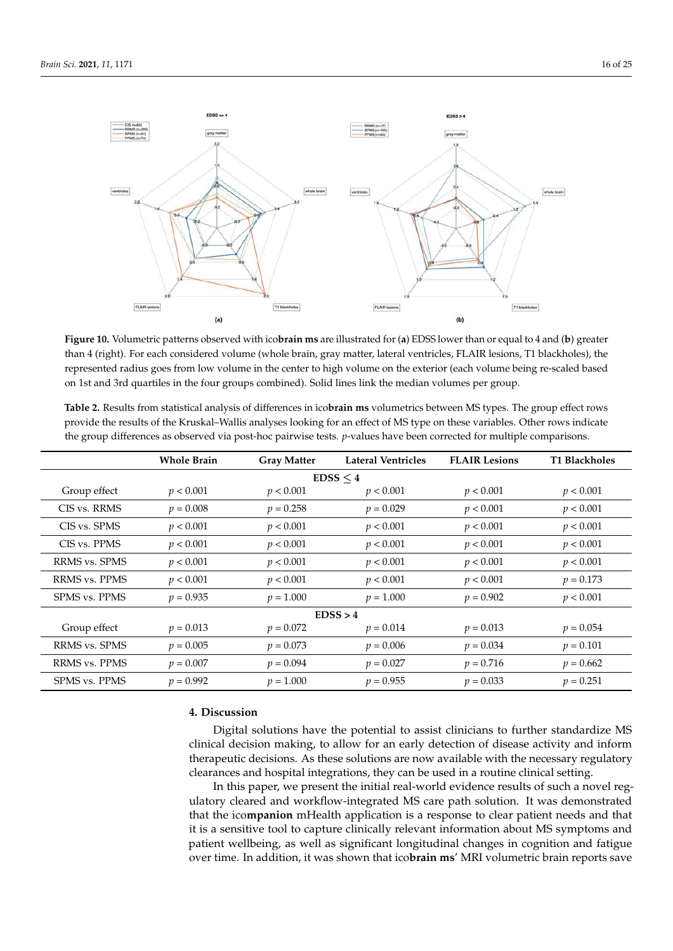<span id="page-15-0"></span>

**Figure 10.** Volumetric patterns observed with ico**brain ms** are illustrated for (**a**) EDSS lower than or equal to 4 and (**b**) **Figure 10.** Volumetric patterns observed with ico**brain ms** are illustrated for (**a**) EDSS lower than or equal to 4 and (**b**) greater<br>than 4 (right). For each considered volume (whole brain, gray matter, lateral ventricle represented radius goes from low volume in the center to high volume on the exterior (each volume being re-scaled based on 1st and 3rd quartiles in the four groups combined). Solid lines link the median volumes per group.

|                      | <b>Whole Brain</b> | <b>Gray Matter</b> | <b>Lateral Ventricles</b> | <b>FLAIR Lesions</b> | <b>T1 Blackholes</b> |  |  |  |
|----------------------|--------------------|--------------------|---------------------------|----------------------|----------------------|--|--|--|
| EDSS < 4             |                    |                    |                           |                      |                      |  |  |  |
| Group effect         | p < 0.001          | p < 0.001          | p < 0.001                 | p < 0.001            | p < 0.001            |  |  |  |
| CIS vs. RRMS         | $p = 0.008$        | $p = 0.258$        | $p = 0.029$               | p < 0.001            | p < 0.001            |  |  |  |
| CIS vs. SPMS         | p < 0.001          | p < 0.001          | p < 0.001                 | p < 0.001            | p < 0.001            |  |  |  |
| CIS vs. PPMS         | p < 0.001          | p < 0.001          | p < 0.001                 | p < 0.001            | p < 0.001            |  |  |  |
| RRMS vs. SPMS        | p < 0.001          | p < 0.001          | p < 0.001                 | p < 0.001            | p < 0.001            |  |  |  |
| <b>RRMS</b> vs. PPMS | p < 0.001          | p < 0.001          | p < 0.001                 | p < 0.001            | $p = 0.173$          |  |  |  |
| <b>SPMS vs. PPMS</b> | $p = 0.935$        | $p = 1.000$        | $p = 1.000$               | $p = 0.902$          | p < 0.001            |  |  |  |
| EDSS > 4             |                    |                    |                           |                      |                      |  |  |  |
| Group effect         | $p = 0.013$        | $p = 0.072$        | $p = 0.014$               | $p = 0.013$          | $p = 0.054$          |  |  |  |
| RRMS vs. SPMS        | $p = 0.005$        | $p = 0.073$        | $p = 0.006$               | $p = 0.034$          | $p = 0.101$          |  |  |  |
| <b>RRMS</b> vs. PPMS | $p = 0.007$        | $p = 0.094$        | $p = 0.027$               | $p = 0.716$          | $p = 0.662$          |  |  |  |
| <b>SPMS vs. PPMS</b> | $p = 0.992$        | $p = 1.000$        | $p = 0.955$               | $p = 0.033$          | $p = 0.251$          |  |  |  |

<span id="page-15-1"></span>Table 2. Results from statistical analysis of differences in icobrain ms volumetrics between MS types. The group effect rows provide the results of the Kruskal–Wallis analyses looking for an effect of MS type on these variables. Other rows indicate  $\epsilon$  or  $\alpha$  type on the group of  $\epsilon$  and  $\epsilon$  is  $\alpha$  the group difference  $\epsilon$  as  $\alpha$  of  $\epsilon$  as  $\alpha$  of  $\epsilon$  as  $\alpha$  of  $\alpha$  and  $\alpha$  or  $\alpha$  or  $\alpha$  or  $\alpha$  or  $\alpha$  or  $\alpha$  or  $\alpha$  or  $\alpha$  or  $\alpha$  or  $\alpha$  or  $\alpha$  or the group differences as observed via post-hoc pairwise tests. *p*-values have been corrected for multiple comparisons.<br>.

# **4. Discussion 4. Discussion**

Digital solutions have the potential to assist clinicians to further standardize MS clinical decision making, to allow for an early detection of disease activity and inform therapeutic decisions. As these solutions are now available with the necessary regulatory ances and hospital integrations, they can be used in a routine clinical setting. clearances and hospital integrations, they can be used in a routine clinical setting.

In this paper, we present the initial real-world evidence results of such a novel regulatory cleared and workflow-integrated MS care path solution. It was demonstrated that the icompanion mHealth application is a response to clear patient needs and that it is a sensitive tool to capture clinically relevant information about MS symptoms and patient wellbeing, as well as significant longitudinal changes in cognition and fatigue over time. In addition, it was shown that icobrain ms' MRI volumetric brain reports save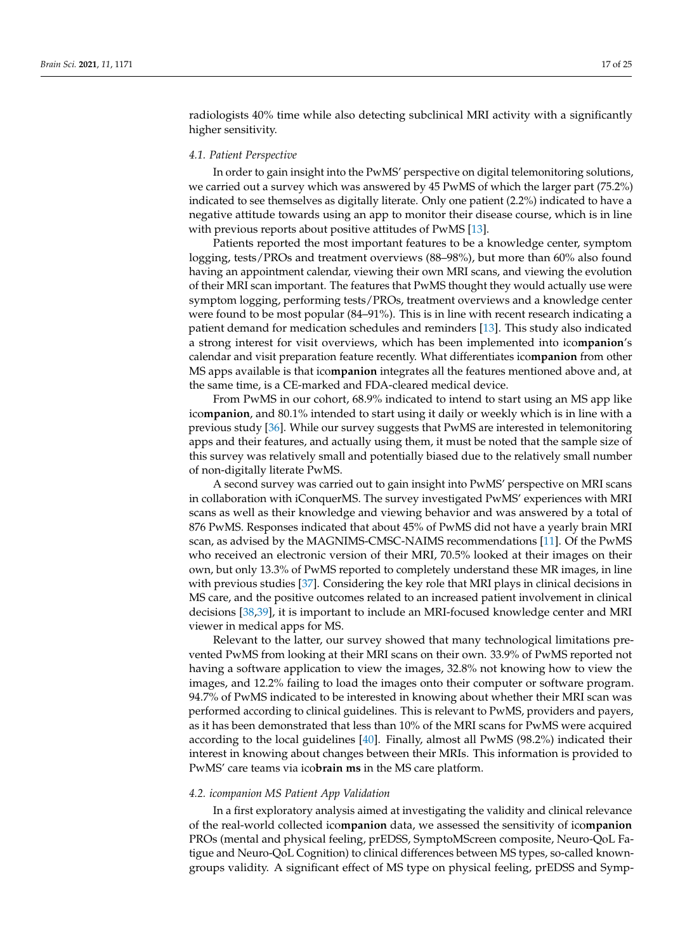radiologists 40% time while also detecting subclinical MRI activity with a significantly higher sensitivity.

#### *4.1. Patient Perspective*

In order to gain insight into the PwMS' perspective on digital telemonitoring solutions, we carried out a survey which was answered by 45 PwMS of which the larger part (75.2%) indicated to see themselves as digitally literate. Only one patient (2.2%) indicated to have a negative attitude towards using an app to monitor their disease course, which is in line with previous reports about positive attitudes of PwMS [\[13\]](#page-22-12).

Patients reported the most important features to be a knowledge center, symptom logging, tests/PROs and treatment overviews (88–98%), but more than 60% also found having an appointment calendar, viewing their own MRI scans, and viewing the evolution of their MRI scan important. The features that PwMS thought they would actually use were symptom logging, performing tests/PROs, treatment overviews and a knowledge center were found to be most popular (84–91%). This is in line with recent research indicating a patient demand for medication schedules and reminders [\[13\]](#page-22-12). This study also indicated a strong interest for visit overviews, which has been implemented into ico**mpanion**'s calendar and visit preparation feature recently. What differentiates ico**mpanion** from other MS apps available is that ico**mpanion** integrates all the features mentioned above and, at the same time, is a CE-marked and FDA-cleared medical device.

From PwMS in our cohort, 68.9% indicated to intend to start using an MS app like ico**mpanion**, and 80.1% intended to start using it daily or weekly which is in line with a previous study [\[36\]](#page-23-16). While our survey suggests that PwMS are interested in telemonitoring apps and their features, and actually using them, it must be noted that the sample size of this survey was relatively small and potentially biased due to the relatively small number of non-digitally literate PwMS.

A second survey was carried out to gain insight into PwMS' perspective on MRI scans in collaboration with iConquerMS. The survey investigated PwMS' experiences with MRI scans as well as their knowledge and viewing behavior and was answered by a total of 876 PwMS. Responses indicated that about 45% of PwMS did not have a yearly brain MRI scan, as advised by the MAGNIMS-CMSC-NAIMS recommendations [\[11\]](#page-22-10). Of the PwMS who received an electronic version of their MRI, 70.5% looked at their images on their own, but only 13.3% of PwMS reported to completely understand these MR images, in line with previous studies [\[37\]](#page-23-17). Considering the key role that MRI plays in clinical decisions in MS care, and the positive outcomes related to an increased patient involvement in clinical decisions [\[38,](#page-23-18)[39\]](#page-23-19), it is important to include an MRI-focused knowledge center and MRI viewer in medical apps for MS.

Relevant to the latter, our survey showed that many technological limitations prevented PwMS from looking at their MRI scans on their own. 33.9% of PwMS reported not having a software application to view the images, 32.8% not knowing how to view the images, and 12.2% failing to load the images onto their computer or software program. 94.7% of PwMS indicated to be interested in knowing about whether their MRI scan was performed according to clinical guidelines. This is relevant to PwMS, providers and payers, as it has been demonstrated that less than 10% of the MRI scans for PwMS were acquired according to the local guidelines [\[40\]](#page-24-0). Finally, almost all PwMS (98.2%) indicated their interest in knowing about changes between their MRIs. This information is provided to PwMS' care teams via ico**brain ms** in the MS care platform.

#### *4.2. icompanion MS Patient App Validation*

In a first exploratory analysis aimed at investigating the validity and clinical relevance of the real-world collected ico**mpanion** data, we assessed the sensitivity of ico**mpanion** PROs (mental and physical feeling, prEDSS, SymptoMScreen composite, Neuro-QoL Fatigue and Neuro-QoL Cognition) to clinical differences between MS types, so-called knowngroups validity. A significant effect of MS type on physical feeling, prEDSS and Symp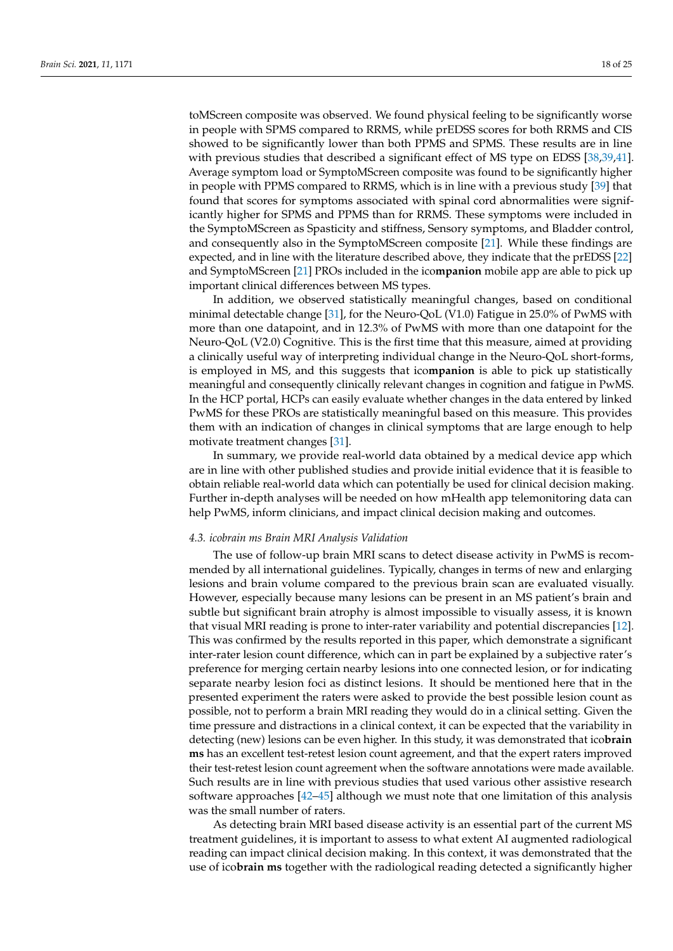toMScreen composite was observed. We found physical feeling to be significantly worse in people with SPMS compared to RRMS, while prEDSS scores for both RRMS and CIS showed to be significantly lower than both PPMS and SPMS. These results are in line with previous studies that described a significant effect of MS type on EDSS [\[38,](#page-23-18)[39,](#page-23-19)[41\]](#page-24-1). Average symptom load or SymptoMScreen composite was found to be significantly higher in people with PPMS compared to RRMS, which is in line with a previous study [\[39\]](#page-23-19) that found that scores for symptoms associated with spinal cord abnormalities were significantly higher for SPMS and PPMS than for RRMS. These symptoms were included in the SymptoMScreen as Spasticity and stiffness, Sensory symptoms, and Bladder control, and consequently also in the SymptoMScreen composite [\[21\]](#page-23-3). While these findings are expected, and in line with the literature described above, they indicate that the prEDSS [\[22\]](#page-23-2) and SymptoMScreen [\[21\]](#page-23-3) PROs included in the ico**mpanion** mobile app are able to pick up important clinical differences between MS types.

In addition, we observed statistically meaningful changes, based on conditional minimal detectable change [\[31\]](#page-23-10), for the Neuro-QoL (V1.0) Fatigue in 25.0% of PwMS with more than one datapoint, and in 12.3% of PwMS with more than one datapoint for the Neuro-QoL (V2.0) Cognitive. This is the first time that this measure, aimed at providing a clinically useful way of interpreting individual change in the Neuro-QoL short-forms, is employed in MS, and this suggests that ico**mpanion** is able to pick up statistically meaningful and consequently clinically relevant changes in cognition and fatigue in PwMS. In the HCP portal, HCPs can easily evaluate whether changes in the data entered by linked PwMS for these PROs are statistically meaningful based on this measure. This provides them with an indication of changes in clinical symptoms that are large enough to help motivate treatment changes [\[31\]](#page-23-10).

In summary, we provide real-world data obtained by a medical device app which are in line with other published studies and provide initial evidence that it is feasible to obtain reliable real-world data which can potentially be used for clinical decision making. Further in-depth analyses will be needed on how mHealth app telemonitoring data can help PwMS, inform clinicians, and impact clinical decision making and outcomes.

#### *4.3. icobrain ms Brain MRI Analysis Validation*

The use of follow-up brain MRI scans to detect disease activity in PwMS is recommended by all international guidelines. Typically, changes in terms of new and enlarging lesions and brain volume compared to the previous brain scan are evaluated visually. However, especially because many lesions can be present in an MS patient's brain and subtle but significant brain atrophy is almost impossible to visually assess, it is known that visual MRI reading is prone to inter-rater variability and potential discrepancies [\[12\]](#page-22-11). This was confirmed by the results reported in this paper, which demonstrate a significant inter-rater lesion count difference, which can in part be explained by a subjective rater's preference for merging certain nearby lesions into one connected lesion, or for indicating separate nearby lesion foci as distinct lesions. It should be mentioned here that in the presented experiment the raters were asked to provide the best possible lesion count as possible, not to perform a brain MRI reading they would do in a clinical setting. Given the time pressure and distractions in a clinical context, it can be expected that the variability in detecting (new) lesions can be even higher. In this study, it was demonstrated that ico**brain ms** has an excellent test-retest lesion count agreement, and that the expert raters improved their test-retest lesion count agreement when the software annotations were made available. Such results are in line with previous studies that used various other assistive research software approaches [\[42](#page-24-2)[–45\]](#page-24-3) although we must note that one limitation of this analysis was the small number of raters.

As detecting brain MRI based disease activity is an essential part of the current MS treatment guidelines, it is important to assess to what extent AI augmented radiological reading can impact clinical decision making. In this context, it was demonstrated that the use of ico**brain ms** together with the radiological reading detected a significantly higher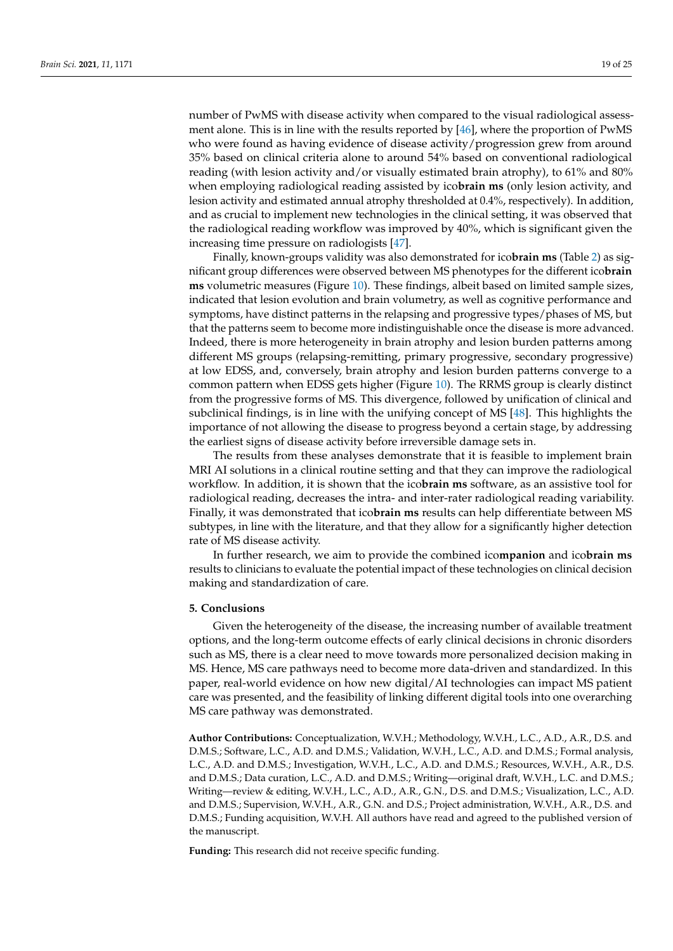number of PwMS with disease activity when compared to the visual radiological assessment alone. This is in line with the results reported by [\[46\]](#page-24-4), where the proportion of PwMS who were found as having evidence of disease activity/progression grew from around 35% based on clinical criteria alone to around 54% based on conventional radiological reading (with lesion activity and/or visually estimated brain atrophy), to 61% and 80% when employing radiological reading assisted by ico**brain ms** (only lesion activity, and lesion activity and estimated annual atrophy thresholded at 0.4%, respectively). In addition, and as crucial to implement new technologies in the clinical setting, it was observed that the radiological reading workflow was improved by 40%, which is significant given the increasing time pressure on radiologists [\[47\]](#page-24-5).

Finally, known-groups validity was also demonstrated for ico**brain ms** (Table [2\)](#page-15-1) as significant group differences were observed between MS phenotypes for the different ico**brain ms** volumetric measures (Figure [10\)](#page-15-0). These findings, albeit based on limited sample sizes, indicated that lesion evolution and brain volumetry, as well as cognitive performance and symptoms, have distinct patterns in the relapsing and progressive types/phases of MS, but that the patterns seem to become more indistinguishable once the disease is more advanced. Indeed, there is more heterogeneity in brain atrophy and lesion burden patterns among different MS groups (relapsing-remitting, primary progressive, secondary progressive) at low EDSS, and, conversely, brain atrophy and lesion burden patterns converge to a common pattern when EDSS gets higher (Figure [10\)](#page-15-0). The RRMS group is clearly distinct from the progressive forms of MS. This divergence, followed by unification of clinical and subclinical findings, is in line with the unifying concept of MS [\[48\]](#page-24-6). This highlights the importance of not allowing the disease to progress beyond a certain stage, by addressing the earliest signs of disease activity before irreversible damage sets in.

The results from these analyses demonstrate that it is feasible to implement brain MRI AI solutions in a clinical routine setting and that they can improve the radiological workflow. In addition, it is shown that the ico**brain ms** software, as an assistive tool for radiological reading, decreases the intra- and inter-rater radiological reading variability. Finally, it was demonstrated that ico**brain ms** results can help differentiate between MS subtypes, in line with the literature, and that they allow for a significantly higher detection rate of MS disease activity.

In further research, we aim to provide the combined ico**mpanion** and ico**brain ms** results to clinicians to evaluate the potential impact of these technologies on clinical decision making and standardization of care.

#### **5. Conclusions**

Given the heterogeneity of the disease, the increasing number of available treatment options, and the long-term outcome effects of early clinical decisions in chronic disorders such as MS, there is a clear need to move towards more personalized decision making in MS. Hence, MS care pathways need to become more data-driven and standardized. In this paper, real-world evidence on how new digital/AI technologies can impact MS patient care was presented, and the feasibility of linking different digital tools into one overarching MS care pathway was demonstrated.

**Author Contributions:** Conceptualization, W.V.H.; Methodology, W.V.H., L.C., A.D., A.R., D.S. and D.M.S.; Software, L.C., A.D. and D.M.S.; Validation, W.V.H., L.C., A.D. and D.M.S.; Formal analysis, L.C., A.D. and D.M.S.; Investigation, W.V.H., L.C., A.D. and D.M.S.; Resources, W.V.H., A.R., D.S. and D.M.S.; Data curation, L.C., A.D. and D.M.S.; Writing—original draft, W.V.H., L.C. and D.M.S.; Writing—review & editing, W.V.H., L.C., A.D., A.R., G.N., D.S. and D.M.S.; Visualization, L.C., A.D. and D.M.S.; Supervision, W.V.H., A.R., G.N. and D.S.; Project administration, W.V.H., A.R., D.S. and D.M.S.; Funding acquisition, W.V.H. All authors have read and agreed to the published version of the manuscript.

**Funding:** This research did not receive specific funding.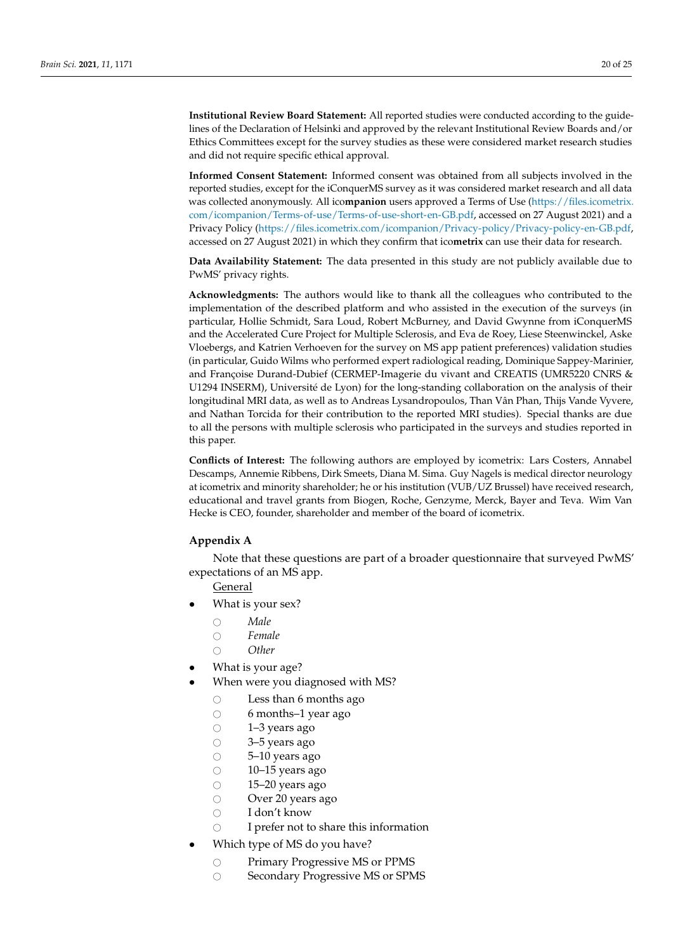**Institutional Review Board Statement:** All reported studies were conducted according to the guidelines of the Declaration of Helsinki and approved by the relevant Institutional Review Boards and/or Ethics Committees except for the survey studies as these were considered market research studies and did not require specific ethical approval.

**Informed Consent Statement:** Informed consent was obtained from all subjects involved in the reported studies, except for the iConquerMS survey as it was considered market research and all data was collected anonymously. All ico**mpanion** users approved a Terms of Use [\(https://files.icometrix.](https://files.icometrix.com/icompanion/Terms-of-use/Terms-of-use-short-en-GB.pdf) [com/icompanion/Terms-of-use/Terms-of-use-short-en-GB.pdf,](https://files.icometrix.com/icompanion/Terms-of-use/Terms-of-use-short-en-GB.pdf) accessed on 27 August 2021) and a Privacy Policy [\(https://files.icometrix.com/icompanion/Privacy-policy/Privacy-policy-en-GB.pdf,](https://files.icometrix.com/icompanion/Privacy-policy/Privacy-policy-en-GB.pdf) accessed on 27 August 2021) in which they confirm that ico**metrix** can use their data for research.

**Data Availability Statement:** The data presented in this study are not publicly available due to PwMS' privacy rights.

**Acknowledgments:** The authors would like to thank all the colleagues who contributed to the implementation of the described platform and who assisted in the execution of the surveys (in particular, Hollie Schmidt, Sara Loud, Robert McBurney, and David Gwynne from iConquerMS and the Accelerated Cure Project for Multiple Sclerosis, and Eva de Roey, Liese Steenwinckel, Aske Vloebergs, and Katrien Verhoeven for the survey on MS app patient preferences) validation studies (in particular, Guido Wilms who performed expert radiological reading, Dominique Sappey-Marinier, and Françoise Durand-Dubief (CERMEP-Imagerie du vivant and CREATIS (UMR5220 CNRS & U1294 INSERM), Université de Lyon) for the long-standing collaboration on the analysis of their longitudinal MRI data, as well as to Andreas Lysandropoulos, Than Vân Phan, Thijs Vande Vyvere, and Nathan Torcida for their contribution to the reported MRI studies). Special thanks are due to all the persons with multiple sclerosis who participated in the surveys and studies reported in this paper.

**Conflicts of Interest:** The following authors are employed by icometrix: Lars Costers, Annabel Descamps, Annemie Ribbens, Dirk Smeets, Diana M. Sima. Guy Nagels is medical director neurology at icometrix and minority shareholder; he or his institution (VUB/UZ Brussel) have received research, educational and travel grants from Biogen, Roche, Genzyme, Merck, Bayer and Teva. Wim Van Hecke is CEO, founder, shareholder and member of the board of icometrix.

#### <span id="page-19-0"></span>**Appendix A**

Note that these questions are part of a broader questionnaire that surveyed PwMS' expectations of an MS app.

## **General**

- What is your sex?
	-
	- *Male*<br>○ Fema ○ Female<br>○ Other
	- # *Other*
- What is your age?
- When were you diagnosed with MS?
	- $\circ$  Less than 6 months ago<br> $\circ$  6 months–1 vear ago
	- $\circ$  6 months–1 year ago<br> $\circ$  1–3 years ago
	- $\circ$  1–3 years ago<br> $\circ$  3–5 years ago
	- $\circ$  3–5 years ago<br> $\circ$  5–10 years ag
	- $\circ$  5–10 years ago<br> $\circ$  10–15 years ago
	- $\circ$  10–15 years ago<br> $\circ$  15–20 years ago
	- $\circ$  15–20 years ago<br> $\circ$  Over 20 years as
	- $\circ$  Over 20 years ago<br> $\circ$  I don't know
	- $\bigcirc$  I don't know<br> $\bigcirc$  I prefer not to
	- I prefer not to share this information
- Which type of MS do you have?
	- O Primary Progressive MS or PPMS<br>
	O Secondary Progressive MS or SPM
	- Secondary Progressive MS or SPMS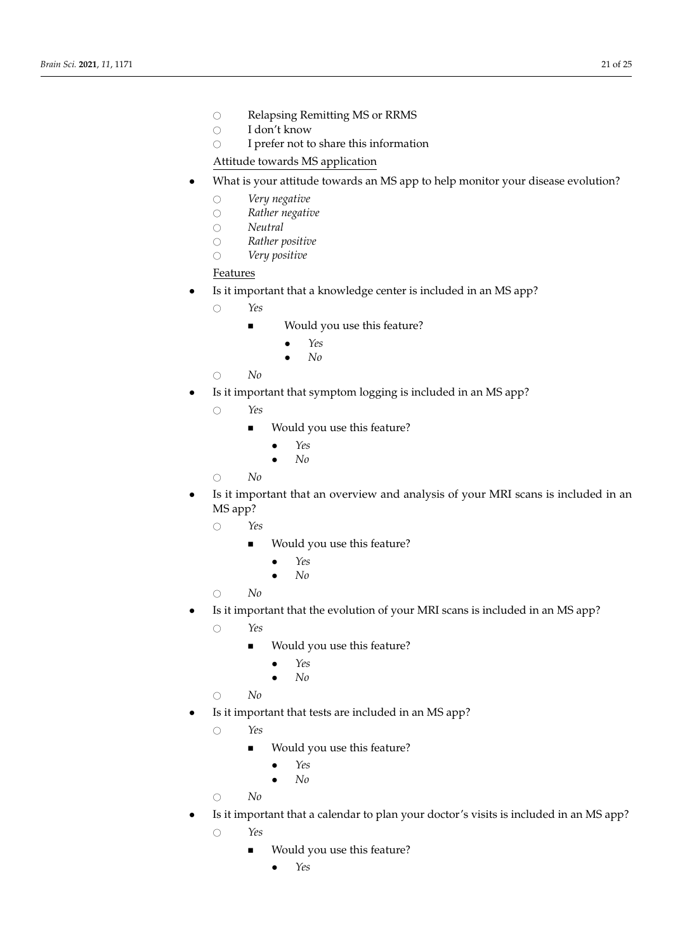O Relapsing Remitting MS or RRMS your own? If so, how?  $\frac{1}{100}$   $\frac{1}{200}$   $\frac{1}{200}$  in any  $\frac{1}{200}$  in any  $\frac{1}{200}$  in any  $\frac{1}{200}$ **Our Belapsing Remitting MS or RRMS** 

○ *Direct download into my computer or other device* 

- I don't know
- $\circ$  I prefer not to share this information

Attitude towards MS application ○ *CD/disc* 

- What is your attitude towards an MS app to help monitor your disease evolution? The E your annual contract an the upp to help members your disease exercise. ○ *USB drive/thumb drive* 
	- *Very negative* ○ *Direct download into my computer or other device*
	- $\circ$  Rather negative
		- *Neutral*  $\mathcal{N}$ eutral in any way to view  $\mathcal{N}$
		- # *Rather positive I didn't have a software program or application for viewing the files* on your own? If so, how? ○ *Not sure/prefer not to say*  realistic
- *Very positive*  $\mathcal{O}$  is generated the images of  $\mathcal{O}$  $\overline{H}$  is your own MRI images on your own MRI images on your own MRI images on your own MRI images on your own, without your own MRI images on your own MRI images on your own MRI images on your own, without your own, wi *Brain Sci.* **2021**, *11*, x FOR PEER REVIEW 25 of 27

#### Features ○ *USB drive/thumb drive*  ■ *I didn't know how to interpret the images*

- Is it important that a knowledge center is included in an MS app?  $\alpha$ healthcare provider provider provider provider provider provider provider provider presentation of the second provider provider provider provider provider provider provider provider provider provider provider provider prov it important that a knowledge center is include<br>
<sup>2</sup>
	- # *Yes Not sure/prefer not to say:*  $\gamma_{es}$  $Y$ *es*
	- *Would you use this feature?*  $H_1$  and  $H_2$  and  $H_2$  are contributed or benefits to an electronic contribution  $\Omega$ 
		- $\bullet$  *Yes* • *Yes* ■ *I didn't have a software program or application for viewing the files*  $\bullet$   $\quad \ \ Yes$ ○ *Not sure/prefer not to say*   $\frac{1}{2}$
- $\bullet$  interested in having your own control  $\bullet$ • *No*  $\bullet$  *No*  $\bullet$  No *Brain Sci.* **2021**, *11*, x FOR PEER REVIEW 25 of 27
	- *No* ■ *I didn't know how to interpret the images*  $\overline{N}$ ● Have you ever looked at your own MRI images on your own, without your
	- $\mathbf{w}$  $\sim$   $\frac{1}{\sqrt{2}}$  you be interested in knowing you be interested in knowing  $\frac{1}{\sqrt{2}}$ • Is it important that symptom logging is included in an MS app? healthcare provider provider provider provider provider provider provider provider provider provider provider<br>Presented it important that symptom logging is included<br>
	<sup>2</sup>
		- # *Yes Not sure/prefer not to say:*  $\gamma_{es}$  $Yes$
		- Would you use this feature?  $\sum_{i=1}^{n}$  $H_{\text{tot}}(1, 1)$  and  $\mu$  and the forebean  $\Omega$ 
			- *Yes* ○ *[in case of No] Would you like to view your MRI images on your own? Why or why not?*   $\bullet$   $\gamma_{\textit{e}s}$  $\overline{\phantom{a}}$  *nes*  $\sim$   $\frac{1}{2}$
		- $\bullet$  No  $\bullet$  interested in having your own control  $\bullet$ • *No* ■ *I didn't have a software program or application for viewing the files*  $\bullet$  No ○ *CD/disc*
		- $N\ddot{o}$ # *No* ■ *I couldn't load the images onto my computer or another device where I could view them*  $\overline{N}$ ● Have you ever looked at your own MRI images on your own, without your  $N$ *o*  $\blacksquare$
	- it important that an overview and analysi  $\mathbf{w}$  $\overline{\text{MS}}$  app? **•** Is it important that an overview and analysis of your MRI scans is included in an MS app? ■ *I wasn't interested in viewing my MRI images on my own* It important that an overview and analysis of your MRI scans is included in a Check all that apply. healthcare provider present?  $S$  app?  $\Box$ it important that an overview and analysis of ○ *Access through my clinic's patient portal* 
		- $\sim$   $\sqrt[3]{\frac{1}{2}}$  you be will you be will to share you be will to share you be will to share you be will to share you be will to share you be will to share you be will to share you be will to share you be will to share  $\gamma_{\textit{e}s}$  $\bigcirc$  *Yes* 
			- *Would you use this feature?* ■ *I didn't have a software program or application for viewing the files* ■ Would you use this feature? ○ *Other—Write In*
		- $\bullet$  Yes  $\bullet$  Yes ○ *[in case of No] Would you like to view your MRI images on your own? Why or why not?*  • *Yes*  $\bullet$  Yes
		- $\bullet$  iNO  $\mathcal{L}_{\text{IV}}$  $\bullet$  Would you be interested in having your MRI images to view of  $\mathcal{N}$  in the view? • *No*  $\bullet$  *No*  $\sim$  110  $\mu$  $\bullet$  N<sub>i</sub>
			- $NQ$ # *No* ■ *I didn't know how to interpret the images*  $N<sub>0</sub>$
	- or loss of brain volume)? Why or why not? Why or why not? • Is it important that the evolution of your MRI scans is included in an MS app? it important that the evolution of your MRI scans is included in an MS app?
		- $\sim$   $\frac{1}{\sqrt{2}}$  you be will include your own MRIS, would you be will to share you be will to share you be will to share you be will to share you be will to share you be will to share you be will to share you be will to  $\sim$   $\frac{1}{2}$  you be interested in knowing your own MRIS, we interest in knowing  $\frac{1}{2}$ # *Yes* ■ *Not sure/prefer not to say:*  $Yes$
- $\blacksquare$  Would you use this feature?  $\blacksquare$  Would you use this feature?
	- $\bullet$  Yes Why or why not? • *Yes* ○ *[in case of No] Would you like to view your MRI images on your own? Why or why not?*  ■ *I didn't have a software program or application for viewing the files*  $\bullet$  Yes
	- $\bullet$  iNO  $\bullet$  No  $\bullet$  Would you be interested in having your MRI images to view of  $\mathcal{N}$  in the view? • *No*  $\bullet$  *No* 
		- $NQ$  $N\ddot{o}$ # *No* ■ *I didn't know how to interpret the images* ○ [in case of Yes] How well did you understand the images on your MRI?
	- it important that tests are included in an ivi:  $\mathbf{w}$  $\sim$   $\frac{1}{2}$  you be interested in knowing your own MRIS, we interest in knowing  $\frac{1}{2}$ • Is it important that tests are included in an MS app?  $\overline{\mathbf{r}}$ 
		- # *Yes Not sure/prefer not to say:*
- Would you use this feature?
	- $\frac{1}{\sqrt{2}}$ • *Yes* ○ *[in case of No] Would you like to view your MRI images on your own? Why or why not?*  ■ *I didn't have a software program or application for viewing the files*
	- $\bullet$  No. No. 1991  $\bullet$  No. 1991  $\bullet$  you be will them will them will them will them will them will them will them will them will them will them will them will them will them will them will them will them will them will th  $\bullet$  No  $\bullet$  interested in having your own control  $\bullet$ • *No*  $\bullet$  *No* 
		- $N_o$  $N\ddot{o}$ # *No* ■ *I didn't know how to interpret the images*
	- it important that a calendar to plan your do  $1<sub>W</sub>$  $\sim$   $\frac{1}{\sqrt{2}}$  you have interested in knowing you be interested in knowing  $\frac{1}{\sqrt{2}}$ • Is it important that a calendar to plan your doctor's visits is included in an MS app? # *Yes* ■ *Not sure/prefer not to say:*
		- If you have or had access to your own MRIs, would you be willing to share your ■ *Would you use this feature?*
- 1. Coetzee, T.; Thompson, A.J. Atlas of MS 2020: Informing Global Policy Change. *Mult. Scler.* **2020**, *26*, 1807–1808.  $\mathcal{N}$ • *Yes* ○ *[in case of No] Would you like to view your MRI images on your own? Why or why not?*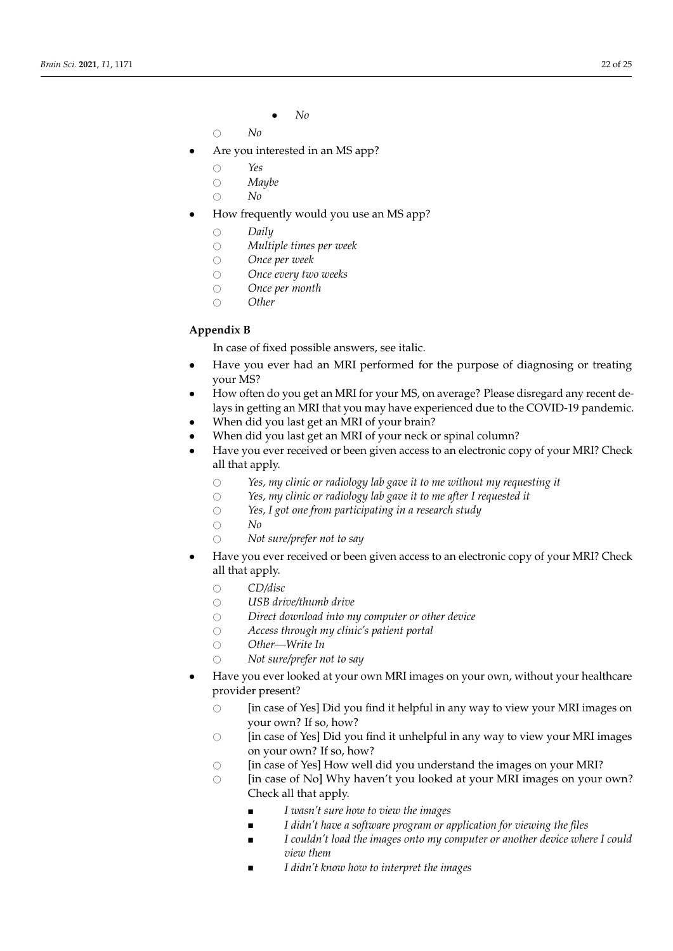• *No*

 $\bigcirc$  *No* 

- Are you interested in an MS app?
	-
	- # *Yes* ○ *Maybe*<br>○ *No*
	- # *No*
- <span id="page-21-0"></span>• How frequently would you use an MS app?
	-
	- ⊙ Daily<br>○ Multi # *Multiple times per week*
	- Once per week<br>○ Once every tweek
	- Once every two weeks<br>○ Once per month
	- Once per month<br>○ Other
	- # *Other*

#### **Appendix B** *Brain Science Sci. 2021*, *Reporting Brain Sci. 2021*, *2022*, *a*

In case of fixed possible answers, see italic.

- Have you ever had an MRI performed for the purpose of diagnosing or treating your MS? ○ *Not sure/prefer not to say*   $\mu$  your MS?
	- How often do you get an MRI for your MS, on average? Please disregard any recent delays in getting an MRI that you may have experienced due to the COVID-19 pandemic.<br>We say that all that a MRI of your MRI?
	- When did you last get an MRI of your brain?
	- When did you last get an MRI of your neck or spinal column?
	- Have you ever received or been given access to an electronic copy of your MRI? Check<br>
	<sup>211</sup> that apply. all that apply. ○ *USB drive/thumb drive* 
		- *Access Yes, my clinic or radiology lab gave it to me without my requesting it* $\circ$ *Yes, my clinic or radiology lab gave it to me without my requesting it*  $Yes, my clinic or radiology lab gave it to me w$
		- *Yes, my clinic or radiology lab gave it to me after I requested it*
		- *Yes, I got one from participating in a research study* ○ *Direct download into my computer or other device*
		- *No* ○ *Not sure/prefer not to say*
		- $\bigcirc$  **Not sure/prefer not to say**  $\overline{\phantom{a}}$  *Not sure/prefer not to say*
	- Have you ever received or been given access to an electronic copy of your MRI? Check<br>● Have you ever received or been given access to an electronic copy of your MRI? Check of that apply. *in case of Yessex not to view you find it helpful in any way to view your MRI images on to say of to say of to say of to say of to say of to say of to say of to say*  $\alpha$ *. The same of to say of the same of* Have you ever received or been given access to an electronic copy of your MRI? Check<br>2<sup>1</sup>l that apply  $\frac{1}{2}$  healthcare provider present
		- 0 *CD/disc*<br>your *Lieb dia 1 am*  $CD/disc$  $\bigcirc$  CD/disc  $\bigcirc$ 
			- USB drive/thumb drive<br>○ *Did you find it helpful in any way* **to view you find it has no view you find it has no view your MRI images on way to view your MRI images on way to view your MRI images on way to view your MRI**
			- **COD artect download into my computer or other device**<br>○ *Direct download into my computer or other device* Direct download into m<u>i</u>
			- *Access through my clinic's patient portal* Access through my clinic's patient portal<br>○ New Maitt In
			- Other—Write In
			- Not sure/prefer not to say
	- Have you ever looked at your own MRI images on your own, without your healthcare provider present?  $\alpha$  ever nonea at your on
		- 1 **a 1** *I* in case of Yes] Did you find it helpful in any way to view your MRI images on your own? If so, how? [in case of Yes] Did you find it helpful in any way to view your MRI imag
		- bout own: it so, now :<br>
		sold you find it unhelpful in any way to view your MRI images on your own? If so, how? [in case of Yes] Did y
		- $\circ$  [in case of Yes] How well did you understand the images on your MRI?
		- □ *In case of No] Why haven't you looked at your MRI images on your own?* and the *interested in apply.*<br>Check all that apply. [in case of No] Why haven't you looked at your MRI imag
			- *I wasn't sure how to view the images* **■** *I wasn't sure how to view the images* ■ *I wasn't sure how to view the imag*
			- I didn't have a software program or application for viewing the files
		- where the interested in  $\mathcal{S}$  is a subset of  $\mathcal{S}$  in the view? ■ *I couldn't load the images onto my computer or another device where I could* ○ *[in case of No] Would you like to view your MRI images on your own? Why or why not?*   $view$  *them* ■ *I wasn't interested in viewing my MRI images on my own*
		- *I didn't know how to interpret the images*  $\frac{1}{2}$  which is the interested in having  $\frac{1}{2}$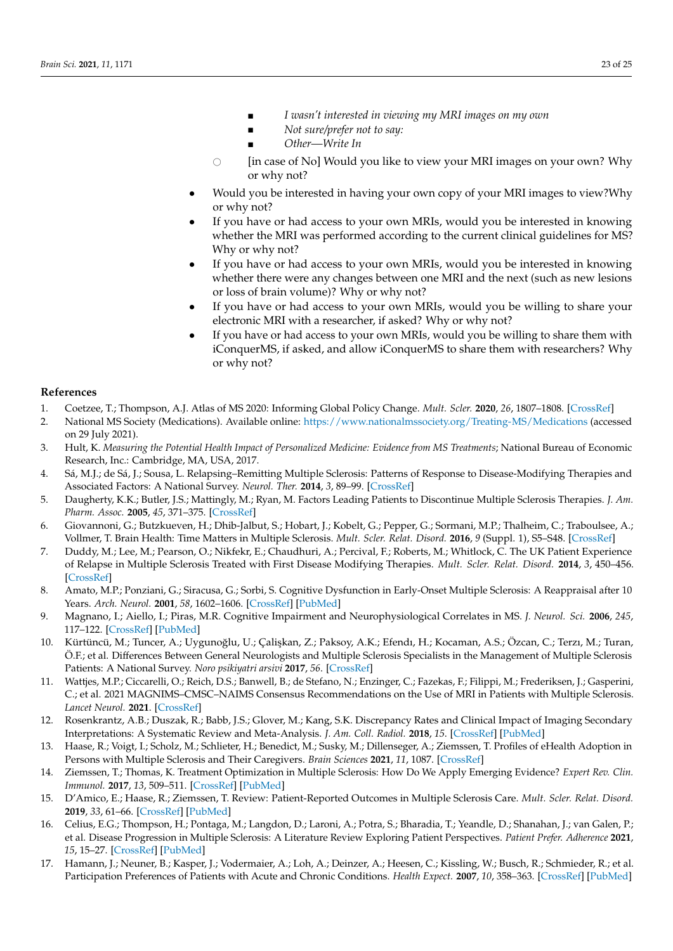■ *I wasn't interested in viewing my MRI images on my own* 

■ *I wasn't interested in viewing my MRI images on my own*

■ *Not sure/prefer not to say:* <br>■ *Our sure/prefer not to say:* 

■ *I didn't know how to interpret the images*

- $\blacksquare$  *[inter-view in*  $\blacksquare$ ■ *Other—Write In Other—Write In*
- Would you be interested in having your own copy of your MRI images to view? Why or why not? or why not? ○ [in case of No] Would you like to view your MRI images on your own? Why  $\overline{v}$  with the interested in having your mass to view  $\overline{v}$
- Would you be interested in having your own copy of your MRI images to view? Why why note  $\frac{1}{\sqrt{2}}$  was performed according to the current clinical guidelines for  $\frac{1}{\sqrt{2}}$ or why not? • Would you be interested in having your own copy of your MRI images to view?Why
- y on the or there.<br>bother the MRI wa Why or why not?<br>Why or why not? • If you have or had access to your own MRIs, would you be interested in knowing whether the MRI was performed according to the current clinical guidelines for MS? whether the MRI was performed according to the current clinical guidelines for MS?
- If you have or had access to your own MRIs, would you be interested in knowing or loss of brain volume)? Why or why not? or loss of brain volume)? Why or why not? whether there were any changes between one MRI and the next (such as new lesions
- If you have or had access to your own MRIs, would you be willing to share your electronic MRI with a researcher, if asked? Why or why not?
- exercing man with a researcher, if asked? Why or why not? If you have or had access to your own MRIs, would you be willing to share them with researchers? Why iConquerMS, if asked, and allow iConquerMS to share them with researchers? Why with iConquerms, if as a set  $\mathbb{R}^n$  is a set  $\mathbb{R}^n$  to share them with researchers? or why not? • If you have or had access to your own MRIs, would you be willing to share them with iConquerMS, if asked, and allow iConquerMS to share them with researchers? Why<br>or why not?

#### **References**

- <span id="page-22-0"></span>1. Coetzee, T.; Thompson, A.J. Atlas of MS 2020: Informing Global Policy Change. *Mult. Scler.* **2020**, 26, 1807–1808. [\[CrossRef\]](http://doi.org/10.1177/1352458520968811)
- <span id="page-22-1"></span>**References**  Why or why not? 2. National MS Society (Medications). Available online: <https://www.nationalmssociety.org/Treating-MS/Medications> (accessed 1. Coetzee, T.; Thompson, A.J. Atlas of MS 2020: Informing Global Policy Change. *Mult. Scler.* **2020**, *26*, 1807–1808. **References**  on 29 July 2021).
- <span id="page-22-2"></span>3. Hult, K. Measuring the Potential Health Impact of Personalized Medicine: Evidence from MS Treatments; National Bureau of Economic Research, Inc.: Cambridge, MA, USA, 2017.
- <span id="page-22-3"></span>4. Sá, M.J.; de Sá, J.; Sousa, L. Relapsing–Remitting Multiple Sclerosis: Patterns of Response to Disease-Modifying Therapies and Associated Factors: A National Survey. *Neurol. Ther.* **2014**, *3*, 89–99. [\[CrossRef\]](http://doi.org/10.1007/s40120-014-0019-4)
- <span id="page-22-4"></span>5. Daugherty, K.K.; Butler, J.S.; Mattingly, M.; Ryan, M. Factors Leading Patients to Discontinue Multiple Sclerosis Therapies. *J. Am. Pharm. Assoc.* **2005**, *45*, 371–375. [\[CrossRef\]](http://doi.org/10.1331/1544345054003804)
- <span id="page-22-5"></span>6. Giovannoni, G.; Butzkueven, H.; Dhib-Jalbut, S.; Hobart, J.; Kobelt, G.; Pepper, G.; Sormani, M.P.; Thalheim, C.; Traboulsee, A.; Vollmer, T. Brain Health: Time Matters in Multiple Sclerosis. *Mult. Scler. Relat. Disord.* **2016**, *9* (Suppl. 1), S5–S48. [\[CrossRef\]](http://doi.org/10.1016/j.msard.2016.07.003)
- <span id="page-22-6"></span>7. Duddy, M.; Lee, M.; Pearson, O.; Nikfekr, E.; Chaudhuri, A.; Percival, F.; Roberts, M.; Whitlock, C. The UK Patient Experience of Relapse in Multiple Sclerosis Treated with First Disease Modifying Therapies. *Mult. Scler. Relat. Disord.* **2014**, *3*, 450–456. [\[CrossRef\]](http://doi.org/10.1016/j.msard.2014.02.006)
- <span id="page-22-7"></span>8. Amato, M.P.; Ponziani, G.; Siracusa, G.; Sorbi, S. Cognitive Dysfunction in Early-Onset Multiple Sclerosis: A Reappraisal after 10 Years. *Arch. Neurol.* **2001**, *58*, 1602–1606. [\[CrossRef\]](http://doi.org/10.1001/archneur.58.10.1602) [\[PubMed\]](http://www.ncbi.nlm.nih.gov/pubmed/11594918)
- <span id="page-22-8"></span>9. Magnano, I.; Aiello, I.; Piras, M.R. Cognitive Impairment and Neurophysiological Correlates in MS. *J. Neurol. Sci.* **2006**, *245*, 117–122. [\[CrossRef\]](http://doi.org/10.1016/j.jns.2005.08.027) [\[PubMed\]](http://www.ncbi.nlm.nih.gov/pubmed/16697015)
- <span id="page-22-9"></span>10. Kürtüncü, M.; Tuncer, A.; Uygunoğlu, U.; Çalişkan, Z.; Paksoy, A.K.; Efendı, H.; Kocaman, A.S.; Özcan, C.; Terzı, M.; Turan, Ö.F.; et al. Differences Between General Neurologists and Multiple Sclerosis Specialists in the Management of Multiple Sclerosis Patients: A National Survey. *Noro psikiyatri arsivi* **2017**, *56*. [\[CrossRef\]](http://doi.org/10.5152/npa.2017.19387)
- <span id="page-22-10"></span>11. Wattjes, M.P.; Ciccarelli, O.; Reich, D.S.; Banwell, B.; de Stefano, N.; Enzinger, C.; Fazekas, F.; Filippi, M.; Frederiksen, J.; Gasperini, C.; et al. 2021 MAGNIMS–CMSC–NAIMS Consensus Recommendations on the Use of MRI in Patients with Multiple Sclerosis. *Lancet Neurol.* **2021**. [\[CrossRef\]](http://doi.org/10.1016/S1474-4422(21)00095-8)
- <span id="page-22-11"></span>12. Rosenkrantz, A.B.; Duszak, R.; Babb, J.S.; Glover, M.; Kang, S.K. Discrepancy Rates and Clinical Impact of Imaging Secondary Interpretations: A Systematic Review and Meta-Analysis. *J. Am. Coll. Radiol.* **2018**, *15*. [\[CrossRef\]](http://doi.org/10.1016/j.jacr.2018.05.037) [\[PubMed\]](http://www.ncbi.nlm.nih.gov/pubmed/30031614)
- <span id="page-22-12"></span>13. Haase, R.; Voigt, I.; Scholz, M.; Schlieter, H.; Benedict, M.; Susky, M.; Dillenseger, A.; Ziemssen, T. Profiles of eHealth Adoption in Persons with Multiple Sclerosis and Their Caregivers. *Brain Sciences* **2021**, *11*, 1087. [\[CrossRef\]](http://doi.org/10.3390/brainsci11081087)
- <span id="page-22-13"></span>14. Ziemssen, T.; Thomas, K. Treatment Optimization in Multiple Sclerosis: How Do We Apply Emerging Evidence? *Expert Rev. Clin. Immunol.* **2017**, *13*, 509–511. [\[CrossRef\]](http://doi.org/10.1080/1744666X.2017.1292135) [\[PubMed\]](http://www.ncbi.nlm.nih.gov/pubmed/28165854)
- <span id="page-22-14"></span>15. D'Amico, E.; Haase, R.; Ziemssen, T. Review: Patient-Reported Outcomes in Multiple Sclerosis Care. *Mult. Scler. Relat. Disord.* **2019**, *33*, 61–66. [\[CrossRef\]](http://doi.org/10.1016/j.msard.2019.05.019) [\[PubMed\]](http://www.ncbi.nlm.nih.gov/pubmed/31154262)
- <span id="page-22-15"></span>16. Celius, E.G.; Thompson, H.; Pontaga, M.; Langdon, D.; Laroni, A.; Potra, S.; Bharadia, T.; Yeandle, D.; Shanahan, J.; van Galen, P.; et al. Disease Progression in Multiple Sclerosis: A Literature Review Exploring Patient Perspectives. *Patient Prefer. Adherence* **2021**, *15*, 15–27. [\[CrossRef\]](http://doi.org/10.2147/PPA.S268829) [\[PubMed\]](http://www.ncbi.nlm.nih.gov/pubmed/33447018)
- <span id="page-22-16"></span>17. Hamann, J.; Neuner, B.; Kasper, J.; Vodermaier, A.; Loh, A.; Deinzer, A.; Heesen, C.; Kissling, W.; Busch, R.; Schmieder, R.; et al. Participation Preferences of Patients with Acute and Chronic Conditions. *Health Expect.* **2007**, *10*, 358–363. [\[CrossRef\]](http://doi.org/10.1111/j.1369-7625.2007.00458.x) [\[PubMed\]](http://www.ncbi.nlm.nih.gov/pubmed/17986072)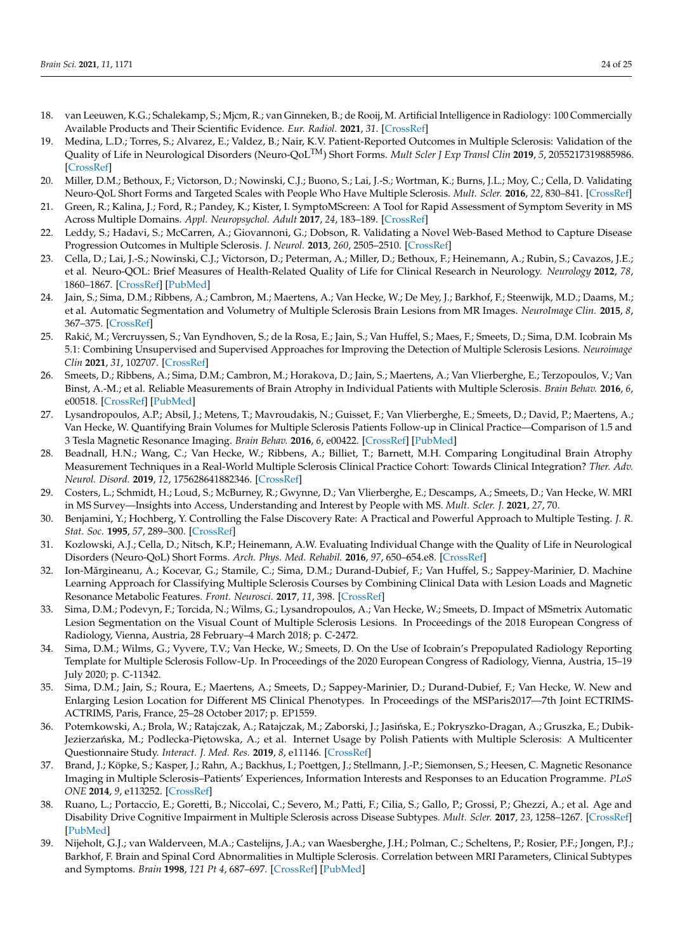- <span id="page-23-0"></span>18. van Leeuwen, K.G.; Schalekamp, S.; Mjcm, R.; van Ginneken, B.; de Rooij, M. Artificial Intelligence in Radiology: 100 Commercially Available Products and Their Scientific Evidence. *Eur. Radiol.* **2021**, *31*. [\[CrossRef\]](http://doi.org/10.1007/s00330-021-07892-z)
- <span id="page-23-1"></span>19. Medina, L.D.; Torres, S.; Alvarez, E.; Valdez, B.; Nair, K.V. Patient-Reported Outcomes in Multiple Sclerosis: Validation of the Quality of Life in Neurological Disorders (Neuro-QoLTM) Short Forms. *Mult Scler J Exp Transl Clin* **2019**, *5*, 2055217319885986. [\[CrossRef\]](http://doi.org/10.1177/2055217319885986)
- <span id="page-23-5"></span>20. Miller, D.M.; Bethoux, F.; Victorson, D.; Nowinski, C.J.; Buono, S.; Lai, J.-S.; Wortman, K.; Burns, J.L.; Moy, C.; Cella, D. Validating Neuro-QoL Short Forms and Targeted Scales with People Who Have Multiple Sclerosis. *Mult. Scler.* **2016**, *22*, 830–841. [\[CrossRef\]](http://doi.org/10.1177/1352458515599450)
- <span id="page-23-3"></span>21. Green, R.; Kalina, J.; Ford, R.; Pandey, K.; Kister, I. SymptoMScreen: A Tool for Rapid Assessment of Symptom Severity in MS Across Multiple Domains. *Appl. Neuropsychol. Adult* **2017**, *24*, 183–189. [\[CrossRef\]](http://doi.org/10.1080/23279095.2015.1125905)
- <span id="page-23-2"></span>22. Leddy, S.; Hadavi, S.; McCarren, A.; Giovannoni, G.; Dobson, R. Validating a Novel Web-Based Method to Capture Disease Progression Outcomes in Multiple Sclerosis. *J. Neurol.* **2013**, *260*, 2505–2510. [\[CrossRef\]](http://doi.org/10.1007/s00415-013-7004-1)
- <span id="page-23-4"></span>23. Cella, D.; Lai, J.-S.; Nowinski, C.J.; Victorson, D.; Peterman, A.; Miller, D.; Bethoux, F.; Heinemann, A.; Rubin, S.; Cavazos, J.E.; et al. Neuro-QOL: Brief Measures of Health-Related Quality of Life for Clinical Research in Neurology. *Neurology* **2012**, *78*, 1860–1867. [\[CrossRef\]](http://doi.org/10.1212/WNL.0b013e318258f744) [\[PubMed\]](http://www.ncbi.nlm.nih.gov/pubmed/22573626)
- <span id="page-23-6"></span>24. Jain, S.; Sima, D.M.; Ribbens, A.; Cambron, M.; Maertens, A.; Van Hecke, W.; De Mey, J.; Barkhof, F.; Steenwijk, M.D.; Daams, M.; et al. Automatic Segmentation and Volumetry of Multiple Sclerosis Brain Lesions from MR Images. *NeuroImage Clin.* **2015**, *8*, 367–375. [\[CrossRef\]](http://doi.org/10.1016/j.nicl.2015.05.003)
- 25. Rakić, M.; Vercruyssen, S.; Van Eyndhoven, S.; de la Rosa, E.; Jain, S.; Van Huffel, S.; Maes, F.; Smeets, D.; Sima, D.M. Icobrain Ms 5.1: Combining Unsupervised and Supervised Approaches for Improving the Detection of Multiple Sclerosis Lesions. *Neuroimage Clin* **2021**, *31*, 102707. [\[CrossRef\]](http://doi.org/10.1016/j.nicl.2021.102707)
- 26. Smeets, D.; Ribbens, A.; Sima, D.M.; Cambron, M.; Horakova, D.; Jain, S.; Maertens, A.; Van Vlierberghe, E.; Terzopoulos, V.; Van Binst, A.-M.; et al. Reliable Measurements of Brain Atrophy in Individual Patients with Multiple Sclerosis. *Brain Behav.* **2016**, *6*, e00518. [\[CrossRef\]](http://doi.org/10.1002/brb3.518) [\[PubMed\]](http://www.ncbi.nlm.nih.gov/pubmed/27688944)
- <span id="page-23-11"></span>27. Lysandropoulos, A.P.; Absil, J.; Metens, T.; Mavroudakis, N.; Guisset, F.; Van Vlierberghe, E.; Smeets, D.; David, P.; Maertens, A.; Van Hecke, W. Quantifying Brain Volumes for Multiple Sclerosis Patients Follow-up in Clinical Practice—Comparison of 1.5 and 3 Tesla Magnetic Resonance Imaging. *Brain Behav.* **2016**, *6*, e00422. [\[CrossRef\]](http://doi.org/10.1002/brb3.422) [\[PubMed\]](http://www.ncbi.nlm.nih.gov/pubmed/27110445)
- <span id="page-23-7"></span>28. Beadnall, H.N.; Wang, C.; Van Hecke, W.; Ribbens, A.; Billiet, T.; Barnett, M.H. Comparing Longitudinal Brain Atrophy Measurement Techniques in a Real-World Multiple Sclerosis Clinical Practice Cohort: Towards Clinical Integration? *Ther. Adv. Neurol. Disord.* **2019**, *12*, 175628641882346. [\[CrossRef\]](http://doi.org/10.1177/1756286418823462)
- <span id="page-23-8"></span>29. Costers, L.; Schmidt, H.; Loud, S.; McBurney, R.; Gwynne, D.; Van Vlierberghe, E.; Descamps, A.; Smeets, D.; Van Hecke, W. MRI in MS Survey—Insights into Access, Understanding and Interest by People with MS. *Mult. Scler. J.* **2021**, *27*, 70.
- <span id="page-23-9"></span>30. Benjamini, Y.; Hochberg, Y. Controlling the False Discovery Rate: A Practical and Powerful Approach to Multiple Testing. *J. R. Stat. Soc.* **1995**, *57*, 289–300. [\[CrossRef\]](http://doi.org/10.1111/j.2517-6161.1995.tb02031.x)
- <span id="page-23-10"></span>31. Kozlowski, A.J.; Cella, D.; Nitsch, K.P.; Heinemann, A.W. Evaluating Individual Change with the Quality of Life in Neurological Disorders (Neuro-QoL) Short Forms. *Arch. Phys. Med. Rehabil.* **2016**, *97*, 650–654.e8. [\[CrossRef\]](http://doi.org/10.1016/j.apmr.2015.12.010)
- <span id="page-23-12"></span>32. Ion-Mărgineanu, A.; Kocevar, G.; Stamile, C.; Sima, D.M.; Durand-Dubief, F.; Van Huffel, S.; Sappey-Marinier, D. Machine Learning Approach for Classifying Multiple Sclerosis Courses by Combining Clinical Data with Lesion Loads and Magnetic Resonance Metabolic Features. *Front. Neurosci.* **2017**, *11*, 398. [\[CrossRef\]](http://doi.org/10.3389/fnins.2017.00398)
- <span id="page-23-13"></span>33. Sima, D.M.; Podevyn, F.; Torcida, N.; Wilms, G.; Lysandropoulos, A.; Van Hecke, W.; Smeets, D. Impact of MSmetrix Automatic Lesion Segmentation on the Visual Count of Multiple Sclerosis Lesions. In Proceedings of the 2018 European Congress of Radiology, Vienna, Austria, 28 February–4 March 2018; p. C-2472.
- <span id="page-23-14"></span>34. Sima, D.M.; Wilms, G.; Vyvere, T.V.; Van Hecke, W.; Smeets, D. On the Use of Icobrain's Prepopulated Radiology Reporting Template for Multiple Sclerosis Follow-Up. In Proceedings of the 2020 European Congress of Radiology, Vienna, Austria, 15–19 July 2020; p. C-11342.
- <span id="page-23-15"></span>35. Sima, D.M.; Jain, S.; Roura, E.; Maertens, A.; Smeets, D.; Sappey-Marinier, D.; Durand-Dubief, F.; Van Hecke, W. New and Enlarging Lesion Location for Different MS Clinical Phenotypes. In Proceedings of the MSParis2017—7th Joint ECTRIMS-ACTRIMS, Paris, France, 25–28 October 2017; p. EP1559.
- <span id="page-23-16"></span>36. Potemkowski, A.; Brola, W.; Ratajczak, A.; Ratajczak, M.; Zaborski, J.; Jasińska, E.; Pokryszko-Dragan, A.; Gruszka, E.; Dubik-Jezierzańska, M.; Podlecka-Piętowska, A.; et al. Internet Usage by Polish Patients with Multiple Sclerosis: A Multicenter Questionnaire Study. *Interact. J. Med. Res.* **2019**, *8*, e11146. [\[CrossRef\]](http://doi.org/10.2196/11146)
- <span id="page-23-17"></span>37. Brand, J.; Köpke, S.; Kasper, J.; Rahn, A.; Backhus, I.; Poettgen, J.; Stellmann, J.-P.; Siemonsen, S.; Heesen, C. Magnetic Resonance Imaging in Multiple Sclerosis–Patients' Experiences, Information Interests and Responses to an Education Programme. *PLoS ONE* **2014**, *9*, e113252. [\[CrossRef\]](http://doi.org/10.1371/journal.pone.0113252)
- <span id="page-23-18"></span>38. Ruano, L.; Portaccio, E.; Goretti, B.; Niccolai, C.; Severo, M.; Patti, F.; Cilia, S.; Gallo, P.; Grossi, P.; Ghezzi, A.; et al. Age and Disability Drive Cognitive Impairment in Multiple Sclerosis across Disease Subtypes. *Mult. Scler.* **2017**, *23*, 1258–1267. [\[CrossRef\]](http://doi.org/10.1177/1352458516674367) [\[PubMed\]](http://www.ncbi.nlm.nih.gov/pubmed/27738090)
- <span id="page-23-19"></span>39. Nijeholt, G.J.; van Walderveen, M.A.; Castelijns, J.A.; van Waesberghe, J.H.; Polman, C.; Scheltens, P.; Rosier, P.F.; Jongen, P.J.; Barkhof, F. Brain and Spinal Cord Abnormalities in Multiple Sclerosis. Correlation between MRI Parameters, Clinical Subtypes and Symptoms. *Brain* **1998**, *121 Pt 4*, 687–697. [\[CrossRef\]](http://doi.org/10.1093/brain/121.4.687) [\[PubMed\]](http://www.ncbi.nlm.nih.gov/pubmed/9577394)